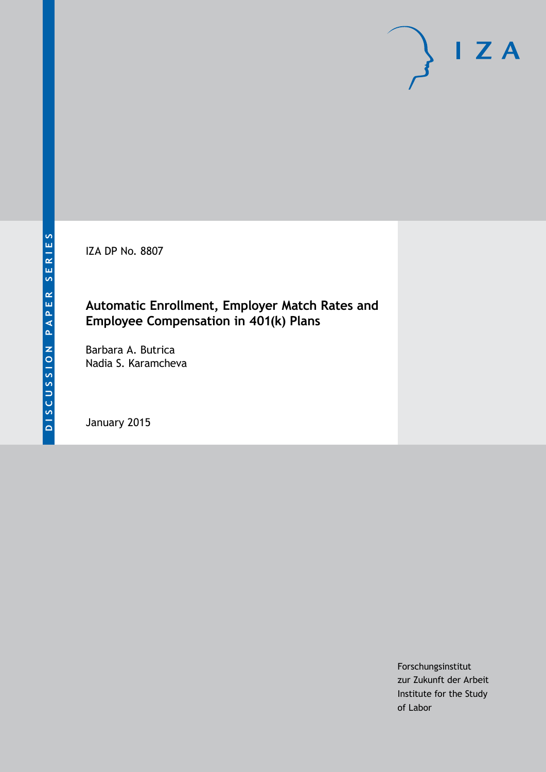IZA DP No. 8807

### **Automatic Enrollment, Employer Match Rates and Employee Compensation in 401(k) Plans**

Barbara A. Butrica Nadia S. Karamcheva

January 2015

Forschungsinstitut zur Zukunft der Arbeit Institute for the Study of Labor

 $I Z A$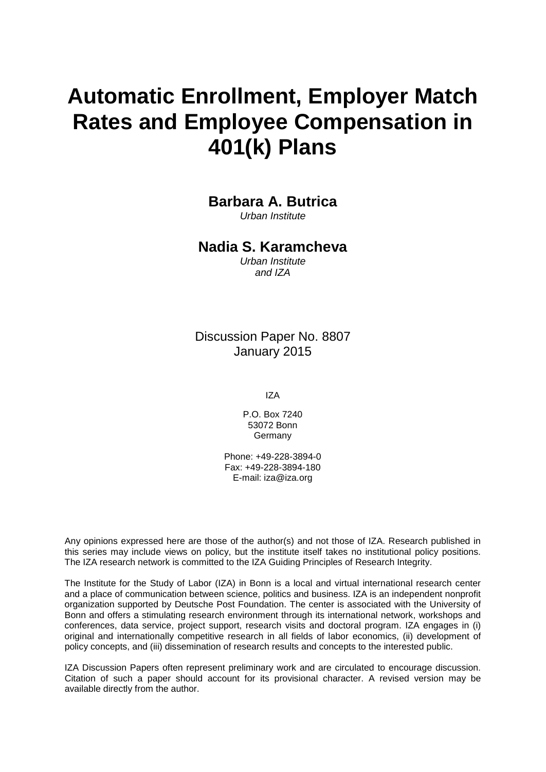# **Automatic Enrollment, Employer Match Rates and Employee Compensation in 401(k) Plans**

**Barbara A. Butrica**

*Urban Institute*

### **Nadia S. Karamcheva**

*Urban Institute and IZA*

Discussion Paper No. 8807 January 2015

IZA

P.O. Box 7240 53072 Bonn **Germany** 

Phone: +49-228-3894-0 Fax: +49-228-3894-180 E-mail: [iza@iza.org](mailto:iza@iza.org)

Any opinions expressed here are those of the author(s) and not those of IZA. Research published in this series may include views on policy, but the institute itself takes no institutional policy positions. The IZA research network is committed to the IZA Guiding Principles of Research Integrity.

The Institute for the Study of Labor (IZA) in Bonn is a local and virtual international research center and a place of communication between science, politics and business. IZA is an independent nonprofit organization supported by Deutsche Post Foundation. The center is associated with the University of Bonn and offers a stimulating research environment through its international network, workshops and conferences, data service, project support, research visits and doctoral program. IZA engages in (i) original and internationally competitive research in all fields of labor economics, (ii) development of policy concepts, and (iii) dissemination of research results and concepts to the interested public.

<span id="page-1-0"></span>IZA Discussion Papers often represent preliminary work and are circulated to encourage discussion. Citation of such a paper should account for its provisional character. A revised version may be available directly from the author.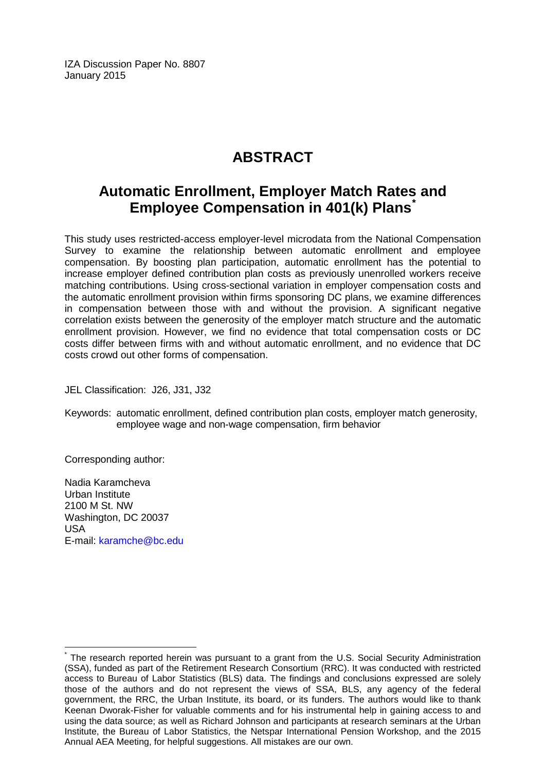IZA Discussion Paper No. 8807 January 2015

# **ABSTRACT**

## **Automatic Enrollment, Employer Match Rates and Employee Compensation in 401(k) Plans[\\*](#page-1-0)**

This study uses restricted-access employer-level microdata from the National Compensation Survey to examine the relationship between automatic enrollment and employee compensation. By boosting plan participation, automatic enrollment has the potential to increase employer defined contribution plan costs as previously unenrolled workers receive matching contributions. Using cross-sectional variation in employer compensation costs and the automatic enrollment provision within firms sponsoring DC plans, we examine differences in compensation between those with and without the provision. A significant negative correlation exists between the generosity of the employer match structure and the automatic enrollment provision. However, we find no evidence that total compensation costs or DC costs differ between firms with and without automatic enrollment, and no evidence that DC costs crowd out other forms of compensation.

JEL Classification: J26, J31, J32

Keywords: automatic enrollment, defined contribution plan costs, employer match generosity, employee wage and non-wage compensation, firm behavior

Corresponding author:

Nadia Karamcheva Urban Institute 2100 M St. NW Washington, DC 20037 USA E-mail: [karamche@bc.edu](mailto:karamche@bc.edu)

The research reported herein was pursuant to a grant from the U.S. Social Security Administration (SSA), funded as part of the Retirement Research Consortium (RRC). It was conducted with restricted access to Bureau of Labor Statistics (BLS) data. The findings and conclusions expressed are solely those of the authors and do not represent the views of SSA, BLS, any agency of the federal government, the RRC, the Urban Institute, its board, or its funders. The authors would like to thank Keenan Dworak-Fisher for valuable comments and for his instrumental help in gaining access to and using the data source; as well as Richard Johnson and participants at research seminars at the Urban Institute, the Bureau of Labor Statistics, the Netspar International Pension Workshop, and the 2015 Annual AEA Meeting, for helpful suggestions. All mistakes are our own.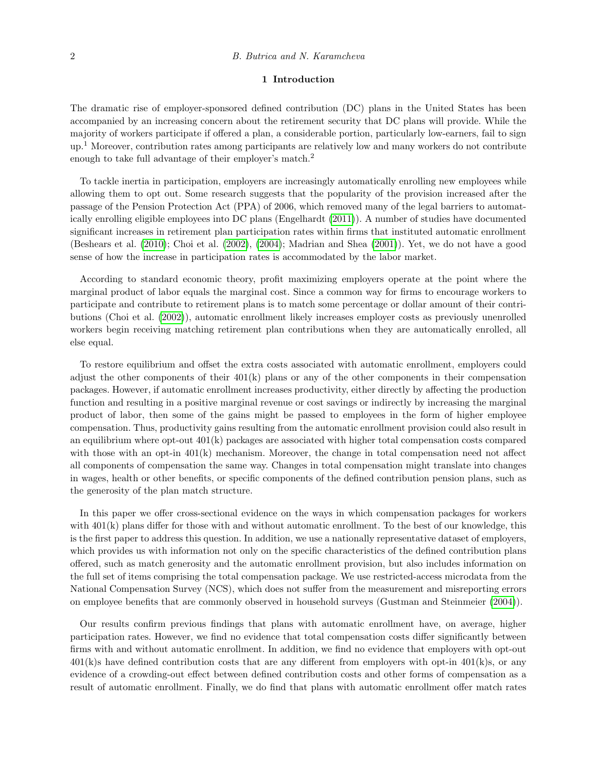#### 1 Introduction

The dramatic rise of employer-sponsored defined contribution (DC) plans in the United States has been accompanied by an increasing concern about the retirement security that DC plans will provide. While the majority of workers participate if offered a plan, a considerable portion, particularly low-earners, fail to sign  $up<sup>1</sup>$  Moreover, contribution rates among participants are relatively low and many workers do not contribute enough to take full advantage of their employer's match.<sup>2</sup>

To tackle inertia in participation, employers are increasingly automatically enrolling new employees while allowing them to opt out. Some research suggests that the popularity of the provision increased after the passage of the Pension Protection Act (PPA) of 2006, which removed many of the legal barriers to automatically enrolling eligible employees into DC plans (Engelhardt [\(2011\)](#page-15-0)). A number of studies have documented significant increases in retirement plan participation rates within firms that instituted automatic enrollment (Beshears et al. [\(2010\)](#page-14-0); Choi et al. [\(2002\)](#page-15-1), [\(2004\)](#page-15-2); Madrian and Shea [\(2001\)](#page-15-3)). Yet, we do not have a good sense of how the increase in participation rates is accommodated by the labor market.

According to standard economic theory, profit maximizing employers operate at the point where the marginal product of labor equals the marginal cost. Since a common way for firms to encourage workers to participate and contribute to retirement plans is to match some percentage or dollar amount of their contributions (Choi et al. [\(2002\)](#page-15-1)), automatic enrollment likely increases employer costs as previously unenrolled workers begin receiving matching retirement plan contributions when they are automatically enrolled, all else equal.

To restore equilibrium and offset the extra costs associated with automatic enrollment, employers could adjust the other components of their  $401(k)$  plans or any of the other components in their compensation packages. However, if automatic enrollment increases productivity, either directly by affecting the production function and resulting in a positive marginal revenue or cost savings or indirectly by increasing the marginal product of labor, then some of the gains might be passed to employees in the form of higher employee compensation. Thus, productivity gains resulting from the automatic enrollment provision could also result in an equilibrium where opt-out  $401(k)$  packages are associated with higher total compensation costs compared with those with an opt-in  $401(k)$  mechanism. Moreover, the change in total compensation need not affect all components of compensation the same way. Changes in total compensation might translate into changes in wages, health or other benefits, or specific components of the defined contribution pension plans, such as the generosity of the plan match structure.

In this paper we offer cross-sectional evidence on the ways in which compensation packages for workers with  $401(k)$  plans differ for those with and without automatic enrollment. To the best of our knowledge, this is the first paper to address this question. In addition, we use a nationally representative dataset of employers, which provides us with information not only on the specific characteristics of the defined contribution plans offered, such as match generosity and the automatic enrollment provision, but also includes information on the full set of items comprising the total compensation package. We use restricted-access microdata from the National Compensation Survey (NCS), which does not suffer from the measurement and misreporting errors on employee benefits that are commonly observed in household surveys (Gustman and Steinmeier [\(2004\)](#page-15-4)).

Our results confirm previous findings that plans with automatic enrollment have, on average, higher participation rates. However, we find no evidence that total compensation costs differ significantly between firms with and without automatic enrollment. In addition, we find no evidence that employers with opt-out  $401(k)$ s have defined contribution costs that are any different from employers with opt-in  $401(k)$ s, or any evidence of a crowding-out effect between defined contribution costs and other forms of compensation as a result of automatic enrollment. Finally, we do find that plans with automatic enrollment offer match rates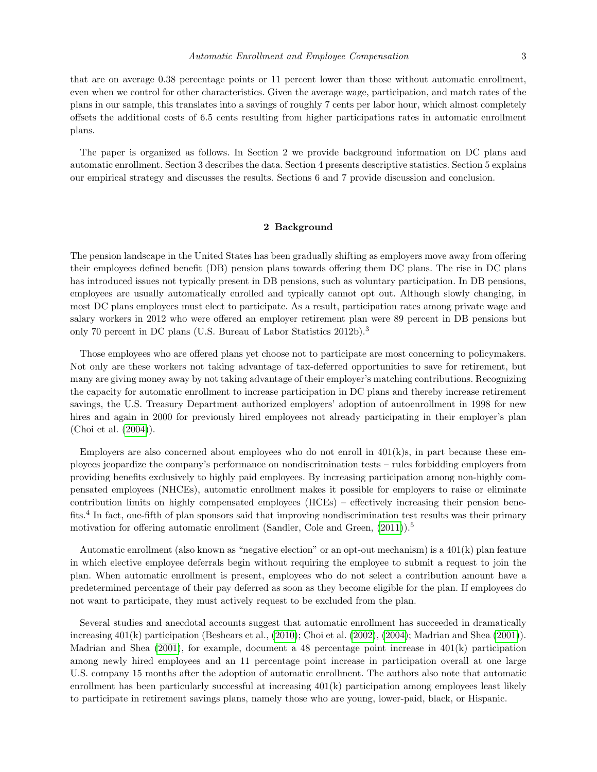that are on average 0.38 percentage points or 11 percent lower than those without automatic enrollment, even when we control for other characteristics. Given the average wage, participation, and match rates of the plans in our sample, this translates into a savings of roughly 7 cents per labor hour, which almost completely offsets the additional costs of 6.5 cents resulting from higher participations rates in automatic enrollment plans.

The paper is organized as follows. In Section 2 we provide background information on DC plans and automatic enrollment. Section 3 describes the data. Section 4 presents descriptive statistics. Section 5 explains our empirical strategy and discusses the results. Sections 6 and 7 provide discussion and conclusion.

#### 2 Background

The pension landscape in the United States has been gradually shifting as employers move away from offering their employees defined benefit (DB) pension plans towards offering them DC plans. The rise in DC plans has introduced issues not typically present in DB pensions, such as voluntary participation. In DB pensions, employees are usually automatically enrolled and typically cannot opt out. Although slowly changing, in most DC plans employees must elect to participate. As a result, participation rates among private wage and salary workers in 2012 who were offered an employer retirement plan were 89 percent in DB pensions but only 70 percent in DC plans (U.S. Bureau of Labor Statistics 2012b).<sup>3</sup>

Those employees who are offered plans yet choose not to participate are most concerning to policymakers. Not only are these workers not taking advantage of tax-deferred opportunities to save for retirement, but many are giving money away by not taking advantage of their employer's matching contributions. Recognizing the capacity for automatic enrollment to increase participation in DC plans and thereby increase retirement savings, the U.S. Treasury Department authorized employers' adoption of autoenrollment in 1998 for new hires and again in 2000 for previously hired employees not already participating in their employer's plan (Choi et al. [\(2004\)](#page-15-2)).

Employers are also concerned about employees who do not enroll in  $401(k)s$ , in part because these employees jeopardize the company's performance on nondiscrimination tests – rules forbidding employers from providing benefits exclusively to highly paid employees. By increasing participation among non-highly compensated employees (NHCEs), automatic enrollment makes it possible for employers to raise or eliminate contribution limits on highly compensated employees (HCEs) – effectively increasing their pension benefits.<sup>4</sup> In fact, one-fifth of plan sponsors said that improving nondiscrimination test results was their primary motivation for offering automatic enrollment (Sandler, Cole and Green,  $(2011)$ ).<sup>5</sup>

Automatic enrollment (also known as "negative election" or an opt-out mechanism) is a 401(k) plan feature in which elective employee deferrals begin without requiring the employee to submit a request to join the plan. When automatic enrollment is present, employees who do not select a contribution amount have a predetermined percentage of their pay deferred as soon as they become eligible for the plan. If employees do not want to participate, they must actively request to be excluded from the plan.

Several studies and anecdotal accounts suggest that automatic enrollment has succeeded in dramatically increasing 401(k) participation (Beshears et al., [\(2010\)](#page-14-0); Choi et al. [\(2002\)](#page-15-1), [\(2004\)](#page-15-2); Madrian and Shea [\(2001\)](#page-15-3)). Madrian and Shea  $(2001)$ , for example, document a 48 percentage point increase in  $401(k)$  participation among newly hired employees and an 11 percentage point increase in participation overall at one large U.S. company 15 months after the adoption of automatic enrollment. The authors also note that automatic enrollment has been particularly successful at increasing 401(k) participation among employees least likely to participate in retirement savings plans, namely those who are young, lower-paid, black, or Hispanic.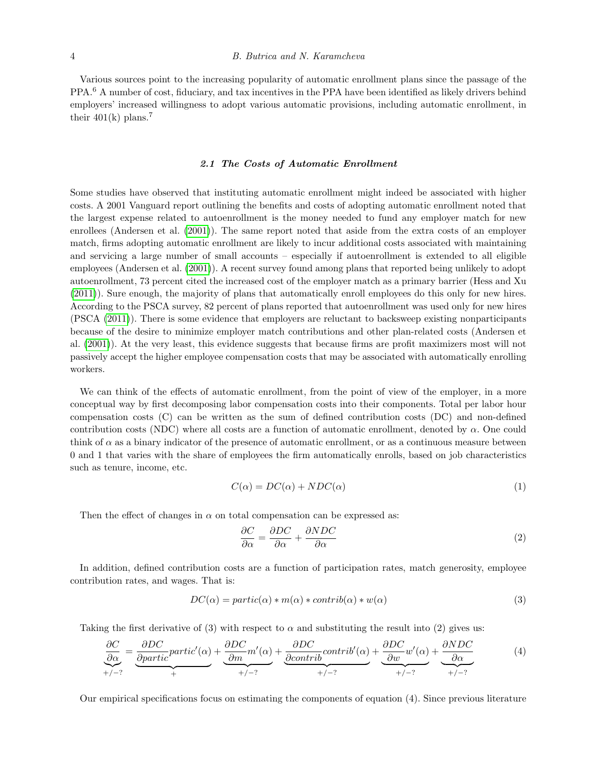Various sources point to the increasing popularity of automatic enrollment plans since the passage of the PPA.<sup>6</sup> A number of cost, fiduciary, and tax incentives in the PPA have been identified as likely drivers behind employers' increased willingness to adopt various automatic provisions, including automatic enrollment, in their  $401(k)$  plans.<sup>7</sup>

#### 2.1 The Costs of Automatic Enrollment

Some studies have observed that instituting automatic enrollment might indeed be associated with higher costs. A 2001 Vanguard report outlining the benefits and costs of adopting automatic enrollment noted that the largest expense related to autoenrollment is the money needed to fund any employer match for new enrollees (Andersen et al. [\(2001\)](#page-14-1)). The same report noted that aside from the extra costs of an employer match, firms adopting automatic enrollment are likely to incur additional costs associated with maintaining and servicing a large number of small accounts – especially if autoenrollment is extended to all eligible employees (Andersen et al. [\(2001\)](#page-14-1)). A recent survey found among plans that reported being unlikely to adopt autoenrollment, 73 percent cited the increased cost of the employer match as a primary barrier (Hess and Xu [\(2011\)](#page-15-6)). Sure enough, the majority of plans that automatically enroll employees do this only for new hires. According to the PSCA survey, 82 percent of plans reported that autoenrollment was used only for new hires (PSCA [\(2011\)](#page-15-7)). There is some evidence that employers are reluctant to backsweep existing nonparticipants because of the desire to minimize employer match contributions and other plan-related costs (Andersen et al. [\(2001\)](#page-14-1)). At the very least, this evidence suggests that because firms are profit maximizers most will not passively accept the higher employee compensation costs that may be associated with automatically enrolling workers.

We can think of the effects of automatic enrollment, from the point of view of the employer, in a more conceptual way by first decomposing labor compensation costs into their components. Total per labor hour compensation costs (C) can be written as the sum of defined contribution costs (DC) and non-defined contribution costs (NDC) where all costs are a function of automatic enrollment, denoted by  $\alpha$ . One could think of  $\alpha$  as a binary indicator of the presence of automatic enrollment, or as a continuous measure between 0 and 1 that varies with the share of employees the firm automatically enrolls, based on job characteristics such as tenure, income, etc.

$$
C(\alpha) = DC(\alpha) + NDC(\alpha)
$$
\n<sup>(1)</sup>

Then the effect of changes in  $\alpha$  on total compensation can be expressed as:

$$
\frac{\partial C}{\partial \alpha} = \frac{\partial DC}{\partial \alpha} + \frac{\partial NDC}{\partial \alpha} \tag{2}
$$

In addition, defined contribution costs are a function of participation rates, match generosity, employee contribution rates, and wages. That is:

$$
DC(\alpha) = partic(\alpha) * m(\alpha) * contrib(\alpha) * w(\alpha)
$$
\n(3)

Taking the first derivative of (3) with respect to  $\alpha$  and substituting the result into (2) gives us:

$$
\underbrace{\frac{\partial C}{\partial \alpha}}_{+/ - ?} = \underbrace{\frac{\partial DC}{\partial partic}partic'(\alpha)}_{+} + \underbrace{\frac{\partial DC}{\partial m}m'(\alpha)}_{+/ - ?} + \underbrace{\frac{\partial DC}{\partial contrib}contrib'(\alpha)}_{+/ - ?} + \underbrace{\frac{\partial DC}{\partial w}w'(\alpha)}_{+/ - ?} + \underbrace{\frac{\partial NDC}{\partial \alpha}}_{+/ - ?}
$$
(4)

Our empirical specifications focus on estimating the components of equation (4). Since previous literature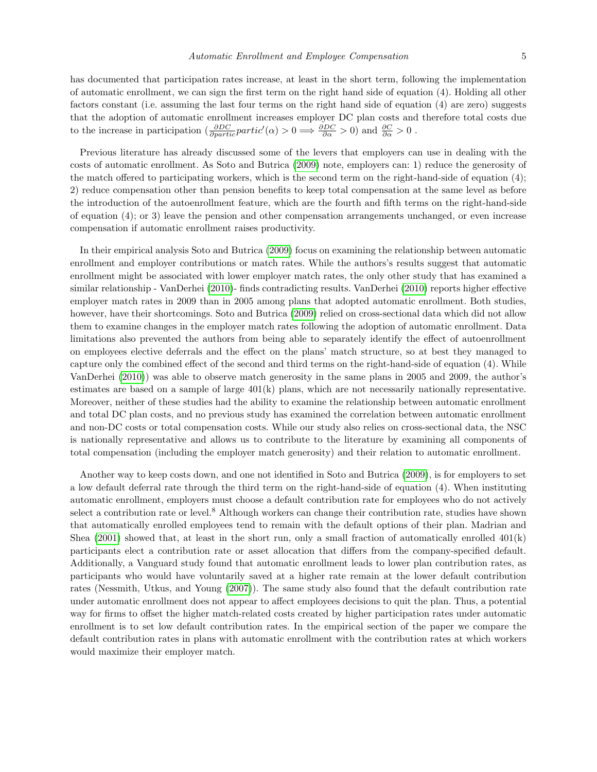has documented that participation rates increase, at least in the short term, following the implementation of automatic enrollment, we can sign the first term on the right hand side of equation (4). Holding all other factors constant (i.e. assuming the last four terms on the right hand side of equation (4) are zero) suggests that the adoption of automatic enrollment increases employer DC plan costs and therefore total costs due to the increase in participation  $\left(\frac{\partial DC}{\partial partic}partic'(\alpha) > 0 \implies \frac{\partial DC}{\partial \alpha} > 0\right)$  and  $\frac{\partial C}{\partial \alpha} > 0$ .

Previous literature has already discussed some of the levers that employers can use in dealing with the costs of automatic enrollment. As Soto and Butrica [\(2009\)](#page-16-0) note, employers can: 1) reduce the generosity of the match offered to participating workers, which is the second term on the right-hand-side of equation (4); 2) reduce compensation other than pension benefits to keep total compensation at the same level as before the introduction of the autoenrollment feature, which are the fourth and fifth terms on the right-hand-side of equation (4); or 3) leave the pension and other compensation arrangements unchanged, or even increase compensation if automatic enrollment raises productivity.

In their empirical analysis Soto and Butrica [\(2009\)](#page-16-0) focus on examining the relationship between automatic enrollment and employer contributions or match rates. While the authors's results suggest that automatic enrollment might be associated with lower employer match rates, the only other study that has examined a similar relationship - VanDerhei [\(2010\)](#page-16-1)- finds contradicting results. VanDerhei [\(2010\)](#page-16-1) reports higher effective employer match rates in 2009 than in 2005 among plans that adopted automatic enrollment. Both studies, however, have their shortcomings. Soto and Butrica [\(2009\)](#page-16-0) relied on cross-sectional data which did not allow them to examine changes in the employer match rates following the adoption of automatic enrollment. Data limitations also prevented the authors from being able to separately identify the effect of autoenrollment on employees elective deferrals and the effect on the plans' match structure, so at best they managed to capture only the combined effect of the second and third terms on the right-hand-side of equation (4). While VanDerhei [\(2010\)](#page-16-1)) was able to observe match generosity in the same plans in 2005 and 2009, the author's estimates are based on a sample of large  $401(k)$  plans, which are not necessarily nationally representative. Moreover, neither of these studies had the ability to examine the relationship between automatic enrollment and total DC plan costs, and no previous study has examined the correlation between automatic enrollment and non-DC costs or total compensation costs. While our study also relies on cross-sectional data, the NSC is nationally representative and allows us to contribute to the literature by examining all components of total compensation (including the employer match generosity) and their relation to automatic enrollment.

Another way to keep costs down, and one not identified in Soto and Butrica [\(2009\)](#page-16-0), is for employers to set a low default deferral rate through the third term on the right-hand-side of equation (4). When instituting automatic enrollment, employers must choose a default contribution rate for employees who do not actively select a contribution rate or level.<sup>8</sup> Although workers can change their contribution rate, studies have shown that automatically enrolled employees tend to remain with the default options of their plan. Madrian and Shea  $(2001)$  showed that, at least in the short run, only a small fraction of automatically enrolled  $401(k)$ participants elect a contribution rate or asset allocation that differs from the company-specified default. Additionally, a Vanguard study found that automatic enrollment leads to lower plan contribution rates, as participants who would have voluntarily saved at a higher rate remain at the lower default contribution rates (Nessmith, Utkus, and Young [\(2007\)](#page-15-8)). The same study also found that the default contribution rate under automatic enrollment does not appear to affect employees decisions to quit the plan. Thus, a potential way for firms to offset the higher match-related costs created by higher participation rates under automatic enrollment is to set low default contribution rates. In the empirical section of the paper we compare the default contribution rates in plans with automatic enrollment with the contribution rates at which workers would maximize their employer match.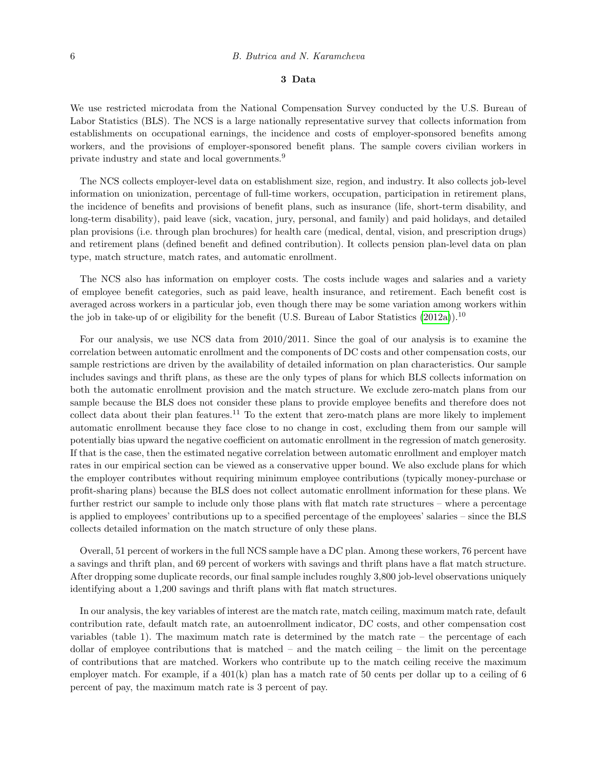#### 3 Data

We use restricted microdata from the National Compensation Survey conducted by the U.S. Bureau of Labor Statistics (BLS). The NCS is a large nationally representative survey that collects information from establishments on occupational earnings, the incidence and costs of employer-sponsored benefits among workers, and the provisions of employer-sponsored benefit plans. The sample covers civilian workers in private industry and state and local governments.<sup>9</sup>

The NCS collects employer-level data on establishment size, region, and industry. It also collects job-level information on unionization, percentage of full-time workers, occupation, participation in retirement plans, the incidence of benefits and provisions of benefit plans, such as insurance (life, short-term disability, and long-term disability), paid leave (sick, vacation, jury, personal, and family) and paid holidays, and detailed plan provisions (i.e. through plan brochures) for health care (medical, dental, vision, and prescription drugs) and retirement plans (defined benefit and defined contribution). It collects pension plan-level data on plan type, match structure, match rates, and automatic enrollment.

The NCS also has information on employer costs. The costs include wages and salaries and a variety of employee benefit categories, such as paid leave, health insurance, and retirement. Each benefit cost is averaged across workers in a particular job, even though there may be some variation among workers within the job in take-up of or eligibility for the benefit (U.S. Bureau of Labor Statistics  $(2012a)$ ).<sup>10</sup>

For our analysis, we use NCS data from 2010/2011. Since the goal of our analysis is to examine the correlation between automatic enrollment and the components of DC costs and other compensation costs, our sample restrictions are driven by the availability of detailed information on plan characteristics. Our sample includes savings and thrift plans, as these are the only types of plans for which BLS collects information on both the automatic enrollment provision and the match structure. We exclude zero-match plans from our sample because the BLS does not consider these plans to provide employee benefits and therefore does not collect data about their plan features.<sup>11</sup> To the extent that zero-match plans are more likely to implement automatic enrollment because they face close to no change in cost, excluding them from our sample will potentially bias upward the negative coefficient on automatic enrollment in the regression of match generosity. If that is the case, then the estimated negative correlation between automatic enrollment and employer match rates in our empirical section can be viewed as a conservative upper bound. We also exclude plans for which the employer contributes without requiring minimum employee contributions (typically money-purchase or profit-sharing plans) because the BLS does not collect automatic enrollment information for these plans. We further restrict our sample to include only those plans with flat match rate structures – where a percentage is applied to employees' contributions up to a specified percentage of the employees' salaries – since the BLS collects detailed information on the match structure of only these plans.

Overall, 51 percent of workers in the full NCS sample have a DC plan. Among these workers, 76 percent have a savings and thrift plan, and 69 percent of workers with savings and thrift plans have a flat match structure. After dropping some duplicate records, our final sample includes roughly 3,800 job-level observations uniquely identifying about a 1,200 savings and thrift plans with flat match structures.

In our analysis, the key variables of interest are the match rate, match ceiling, maximum match rate, default contribution rate, default match rate, an autoenrollment indicator, DC costs, and other compensation cost variables (table 1). The maximum match rate is determined by the match rate – the percentage of each dollar of employee contributions that is matched – and the match ceiling – the limit on the percentage of contributions that are matched. Workers who contribute up to the match ceiling receive the maximum employer match. For example, if a  $401(k)$  plan has a match rate of 50 cents per dollar up to a ceiling of 6 percent of pay, the maximum match rate is 3 percent of pay.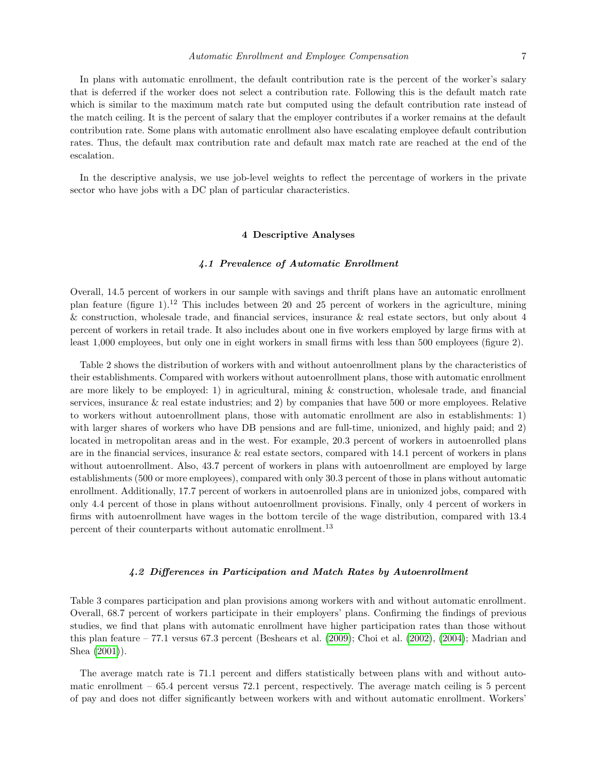In plans with automatic enrollment, the default contribution rate is the percent of the worker's salary that is deferred if the worker does not select a contribution rate. Following this is the default match rate which is similar to the maximum match rate but computed using the default contribution rate instead of the match ceiling. It is the percent of salary that the employer contributes if a worker remains at the default contribution rate. Some plans with automatic enrollment also have escalating employee default contribution rates. Thus, the default max contribution rate and default max match rate are reached at the end of the escalation.

In the descriptive analysis, we use job-level weights to reflect the percentage of workers in the private sector who have jobs with a DC plan of particular characteristics.

#### 4 Descriptive Analyses

#### 4.1 Prevalence of Automatic Enrollment

Overall, 14.5 percent of workers in our sample with savings and thrift plans have an automatic enrollment plan feature (figure 1).<sup>12</sup> This includes between 20 and 25 percent of workers in the agriculture, mining & construction, wholesale trade, and financial services, insurance & real estate sectors, but only about 4 percent of workers in retail trade. It also includes about one in five workers employed by large firms with at least 1,000 employees, but only one in eight workers in small firms with less than 500 employees (figure 2).

Table 2 shows the distribution of workers with and without autoenrollment plans by the characteristics of their establishments. Compared with workers without autoenrollment plans, those with automatic enrollment are more likely to be employed: 1) in agricultural, mining & construction, wholesale trade, and financial services, insurance & real estate industries; and 2) by companies that have 500 or more employees. Relative to workers without autoenrollment plans, those with automatic enrollment are also in establishments: 1) with larger shares of workers who have DB pensions and are full-time, unionized, and highly paid; and 2) located in metropolitan areas and in the west. For example, 20.3 percent of workers in autoenrolled plans are in the financial services, insurance & real estate sectors, compared with 14.1 percent of workers in plans without autoenrollment. Also, 43.7 percent of workers in plans with autoenrollment are employed by large establishments (500 or more employees), compared with only 30.3 percent of those in plans without automatic enrollment. Additionally, 17.7 percent of workers in autoenrolled plans are in unionized jobs, compared with only 4.4 percent of those in plans without autoenrollment provisions. Finally, only 4 percent of workers in firms with autoenrollment have wages in the bottom tercile of the wage distribution, compared with 13.4 percent of their counterparts without automatic enrollment.<sup>13</sup>

#### 4.2 Differences in Participation and Match Rates by Autoenrollment

Table 3 compares participation and plan provisions among workers with and without automatic enrollment. Overall, 68.7 percent of workers participate in their employers' plans. Confirming the findings of previous studies, we find that plans with automatic enrollment have higher participation rates than those without this plan feature – 77.1 versus 67.3 percent (Beshears et al. [\(2009\)](#page-14-2); Choi et al. [\(2002\)](#page-15-1), [\(2004\)](#page-15-2); Madrian and Shea [\(2001\)](#page-15-3)).

The average match rate is 71.1 percent and differs statistically between plans with and without automatic enrollment – 65.4 percent versus 72.1 percent, respectively. The average match ceiling is 5 percent of pay and does not differ significantly between workers with and without automatic enrollment. Workers'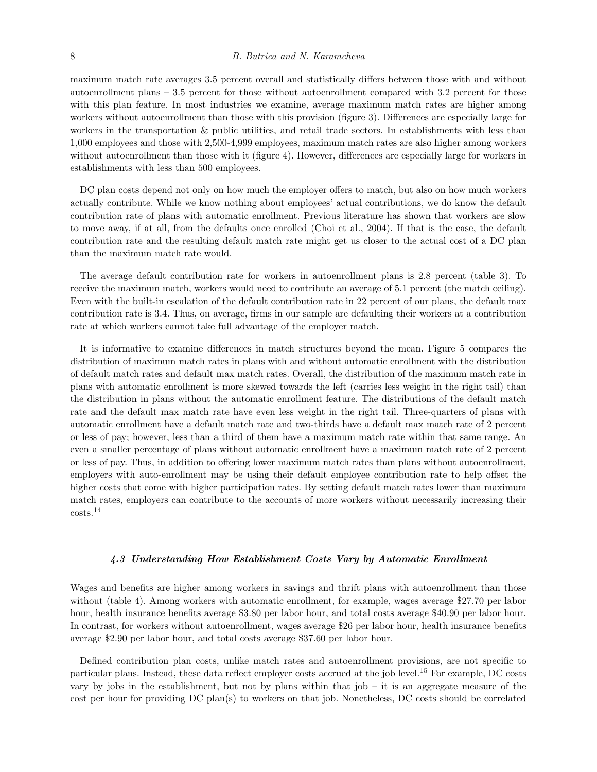maximum match rate averages 3.5 percent overall and statistically differs between those with and without autoenrollment plans – 3.5 percent for those without autoenrollment compared with 3.2 percent for those with this plan feature. In most industries we examine, average maximum match rates are higher among workers without autoenrollment than those with this provision (figure 3). Differences are especially large for workers in the transportation & public utilities, and retail trade sectors. In establishments with less than 1,000 employees and those with 2,500-4,999 employees, maximum match rates are also higher among workers without autoenrollment than those with it (figure 4). However, differences are especially large for workers in establishments with less than 500 employees.

DC plan costs depend not only on how much the employer offers to match, but also on how much workers actually contribute. While we know nothing about employees' actual contributions, we do know the default contribution rate of plans with automatic enrollment. Previous literature has shown that workers are slow to move away, if at all, from the defaults once enrolled (Choi et al., 2004). If that is the case, the default contribution rate and the resulting default match rate might get us closer to the actual cost of a DC plan than the maximum match rate would.

The average default contribution rate for workers in autoenrollment plans is 2.8 percent (table 3). To receive the maximum match, workers would need to contribute an average of 5.1 percent (the match ceiling). Even with the built-in escalation of the default contribution rate in 22 percent of our plans, the default max contribution rate is 3.4. Thus, on average, firms in our sample are defaulting their workers at a contribution rate at which workers cannot take full advantage of the employer match.

It is informative to examine differences in match structures beyond the mean. Figure 5 compares the distribution of maximum match rates in plans with and without automatic enrollment with the distribution of default match rates and default max match rates. Overall, the distribution of the maximum match rate in plans with automatic enrollment is more skewed towards the left (carries less weight in the right tail) than the distribution in plans without the automatic enrollment feature. The distributions of the default match rate and the default max match rate have even less weight in the right tail. Three-quarters of plans with automatic enrollment have a default match rate and two-thirds have a default max match rate of 2 percent or less of pay; however, less than a third of them have a maximum match rate within that same range. An even a smaller percentage of plans without automatic enrollment have a maximum match rate of 2 percent or less of pay. Thus, in addition to offering lower maximum match rates than plans without autoenrollment, employers with auto-enrollment may be using their default employee contribution rate to help offset the higher costs that come with higher participation rates. By setting default match rates lower than maximum match rates, employers can contribute to the accounts of more workers without necessarily increasing their costs.<sup>14</sup>

#### 4.3 Understanding How Establishment Costs Vary by Automatic Enrollment

Wages and benefits are higher among workers in savings and thrift plans with autoenrollment than those without (table 4). Among workers with automatic enrollment, for example, wages average \$27.70 per labor hour, health insurance benefits average \$3.80 per labor hour, and total costs average \$40.90 per labor hour. In contrast, for workers without autoenrollment, wages average \$26 per labor hour, health insurance benefits average \$2.90 per labor hour, and total costs average \$37.60 per labor hour.

Defined contribution plan costs, unlike match rates and autoenrollment provisions, are not specific to particular plans. Instead, these data reflect employer costs accrued at the job level.<sup>15</sup> For example, DC costs vary by jobs in the establishment, but not by plans within that job – it is an aggregate measure of the cost per hour for providing DC plan(s) to workers on that job. Nonetheless, DC costs should be correlated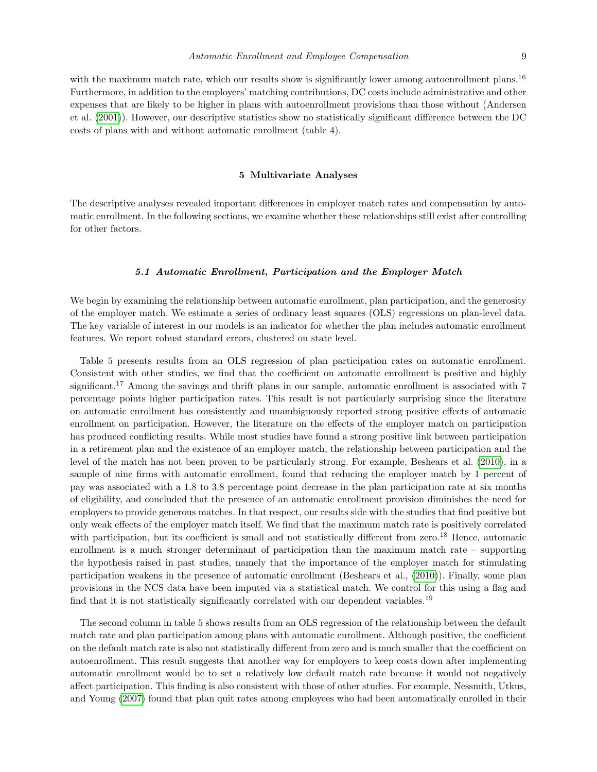with the maximum match rate, which our results show is significantly lower among autoenrollment plans.<sup>16</sup> Furthermore, in addition to the employers' matching contributions, DC costs include administrative and other expenses that are likely to be higher in plans with autoenrollment provisions than those without (Andersen et al. [\(2001\)](#page-14-1)). However, our descriptive statistics show no statistically significant difference between the DC costs of plans with and without automatic enrollment (table 4).

#### 5 Multivariate Analyses

The descriptive analyses revealed important differences in employer match rates and compensation by automatic enrollment. In the following sections, we examine whether these relationships still exist after controlling for other factors.

#### 5.1 Automatic Enrollment, Participation and the Employer Match

We begin by examining the relationship between automatic enrollment, plan participation, and the generosity of the employer match. We estimate a series of ordinary least squares (OLS) regressions on plan-level data. The key variable of interest in our models is an indicator for whether the plan includes automatic enrollment features. We report robust standard errors, clustered on state level.

Table 5 presents results from an OLS regression of plan participation rates on automatic enrollment. Consistent with other studies, we find that the coefficient on automatic enrollment is positive and highly significant.<sup>17</sup> Among the savings and thrift plans in our sample, automatic enrollment is associated with 7 percentage points higher participation rates. This result is not particularly surprising since the literature on automatic enrollment has consistently and unambiguously reported strong positive effects of automatic enrollment on participation. However, the literature on the effects of the employer match on participation has produced conflicting results. While most studies have found a strong positive link between participation in a retirement plan and the existence of an employer match, the relationship between participation and the level of the match has not been proven to be particularly strong. For example, Beshears et al. [\(2010\)](#page-14-0), in a sample of nine firms with automatic enrollment, found that reducing the employer match by 1 percent of pay was associated with a 1.8 to 3.8 percentage point decrease in the plan participation rate at six months of eligibility, and concluded that the presence of an automatic enrollment provision diminishes the need for employers to provide generous matches. In that respect, our results side with the studies that find positive but only weak effects of the employer match itself. We find that the maximum match rate is positively correlated with participation, but its coefficient is small and not statistically different from zero.<sup>18</sup> Hence, automatic enrollment is a much stronger determinant of participation than the maximum match rate – supporting the hypothesis raised in past studies, namely that the importance of the employer match for stimulating participation weakens in the presence of automatic enrollment (Beshears et al., [\(2010\)](#page-14-0)). Finally, some plan provisions in the NCS data have been imputed via a statistical match. We control for this using a flag and find that it is not statistically significantly correlated with our dependent variables.<sup>19</sup>

The second column in table 5 shows results from an OLS regression of the relationship between the default match rate and plan participation among plans with automatic enrollment. Although positive, the coefficient on the default match rate is also not statistically different from zero and is much smaller that the coefficient on autoenrollment. This result suggests that another way for employers to keep costs down after implementing automatic enrollment would be to set a relatively low default match rate because it would not negatively affect participation. This finding is also consistent with those of other studies. For example, Nessmith, Utkus, and Young [\(2007\)](#page-15-8) found that plan quit rates among employees who had been automatically enrolled in their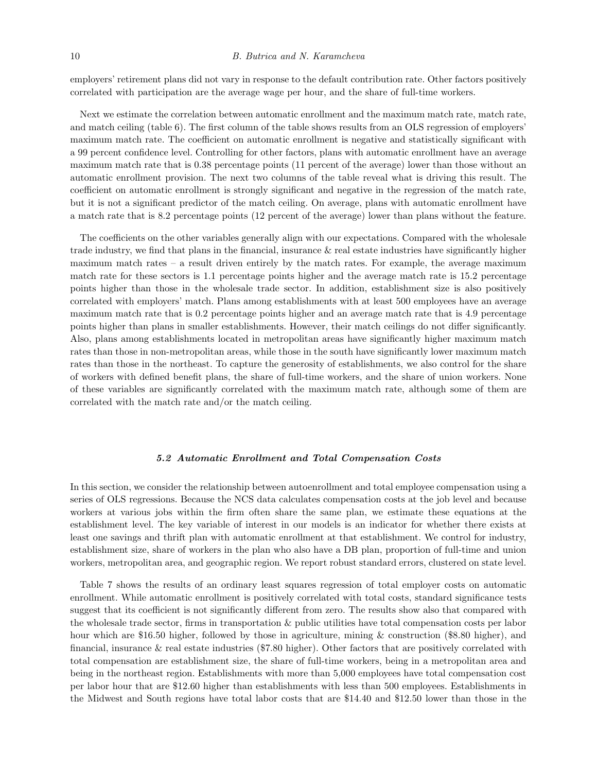employers' retirement plans did not vary in response to the default contribution rate. Other factors positively correlated with participation are the average wage per hour, and the share of full-time workers.

Next we estimate the correlation between automatic enrollment and the maximum match rate, match rate, and match ceiling (table 6). The first column of the table shows results from an OLS regression of employers' maximum match rate. The coefficient on automatic enrollment is negative and statistically significant with a 99 percent confidence level. Controlling for other factors, plans with automatic enrollment have an average maximum match rate that is 0.38 percentage points (11 percent of the average) lower than those without an automatic enrollment provision. The next two columns of the table reveal what is driving this result. The coefficient on automatic enrollment is strongly significant and negative in the regression of the match rate, but it is not a significant predictor of the match ceiling. On average, plans with automatic enrollment have a match rate that is 8.2 percentage points (12 percent of the average) lower than plans without the feature.

The coefficients on the other variables generally align with our expectations. Compared with the wholesale trade industry, we find that plans in the financial, insurance & real estate industries have significantly higher maximum match rates – a result driven entirely by the match rates. For example, the average maximum match rate for these sectors is 1.1 percentage points higher and the average match rate is 15.2 percentage points higher than those in the wholesale trade sector. In addition, establishment size is also positively correlated with employers' match. Plans among establishments with at least 500 employees have an average maximum match rate that is 0.2 percentage points higher and an average match rate that is 4.9 percentage points higher than plans in smaller establishments. However, their match ceilings do not differ significantly. Also, plans among establishments located in metropolitan areas have significantly higher maximum match rates than those in non-metropolitan areas, while those in the south have significantly lower maximum match rates than those in the northeast. To capture the generosity of establishments, we also control for the share of workers with defined benefit plans, the share of full-time workers, and the share of union workers. None of these variables are significantly correlated with the maximum match rate, although some of them are correlated with the match rate and/or the match ceiling.

#### 5.2 Automatic Enrollment and Total Compensation Costs

In this section, we consider the relationship between autoenrollment and total employee compensation using a series of OLS regressions. Because the NCS data calculates compensation costs at the job level and because workers at various jobs within the firm often share the same plan, we estimate these equations at the establishment level. The key variable of interest in our models is an indicator for whether there exists at least one savings and thrift plan with automatic enrollment at that establishment. We control for industry, establishment size, share of workers in the plan who also have a DB plan, proportion of full-time and union workers, metropolitan area, and geographic region. We report robust standard errors, clustered on state level.

Table 7 shows the results of an ordinary least squares regression of total employer costs on automatic enrollment. While automatic enrollment is positively correlated with total costs, standard significance tests suggest that its coefficient is not significantly different from zero. The results show also that compared with the wholesale trade sector, firms in transportation & public utilities have total compensation costs per labor hour which are \$16.50 higher, followed by those in agriculture, mining & construction (\$8.80 higher), and financial, insurance & real estate industries (\$7.80 higher). Other factors that are positively correlated with total compensation are establishment size, the share of full-time workers, being in a metropolitan area and being in the northeast region. Establishments with more than 5,000 employees have total compensation cost per labor hour that are \$12.60 higher than establishments with less than 500 employees. Establishments in the Midwest and South regions have total labor costs that are \$14.40 and \$12.50 lower than those in the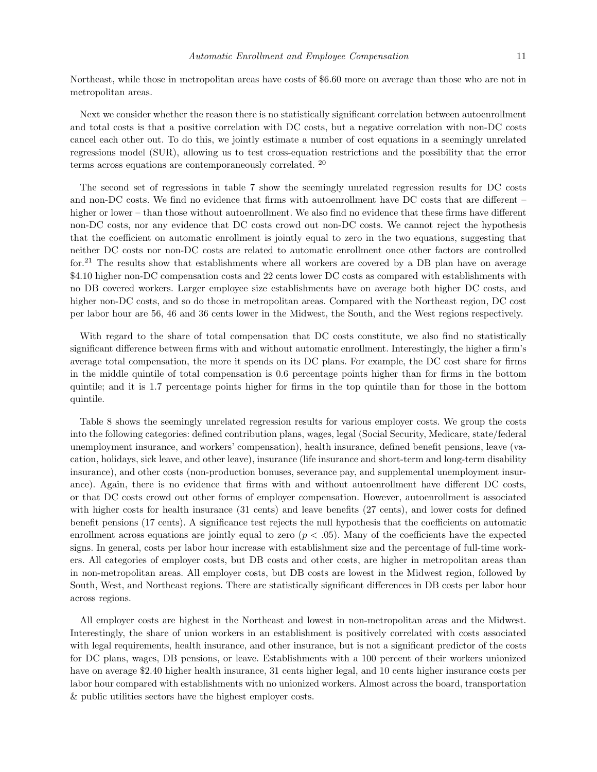Northeast, while those in metropolitan areas have costs of \$6.60 more on average than those who are not in metropolitan areas.

Next we consider whether the reason there is no statistically significant correlation between autoenrollment and total costs is that a positive correlation with DC costs, but a negative correlation with non-DC costs cancel each other out. To do this, we jointly estimate a number of cost equations in a seemingly unrelated regressions model (SUR), allowing us to test cross-equation restrictions and the possibility that the error terms across equations are contemporaneously correlated. <sup>20</sup>

The second set of regressions in table 7 show the seemingly unrelated regression results for DC costs and non-DC costs. We find no evidence that firms with autoenrollment have DC costs that are different – higher or lower – than those without autoenrollment. We also find no evidence that these firms have different non-DC costs, nor any evidence that DC costs crowd out non-DC costs. We cannot reject the hypothesis that the coefficient on automatic enrollment is jointly equal to zero in the two equations, suggesting that neither DC costs nor non-DC costs are related to automatic enrollment once other factors are controlled for.<sup>21</sup> The results show that establishments where all workers are covered by a DB plan have on average \$4.10 higher non-DC compensation costs and 22 cents lower DC costs as compared with establishments with no DB covered workers. Larger employee size establishments have on average both higher DC costs, and higher non-DC costs, and so do those in metropolitan areas. Compared with the Northeast region, DC cost per labor hour are 56, 46 and 36 cents lower in the Midwest, the South, and the West regions respectively.

With regard to the share of total compensation that DC costs constitute, we also find no statistically significant difference between firms with and without automatic enrollment. Interestingly, the higher a firm's average total compensation, the more it spends on its DC plans. For example, the DC cost share for firms in the middle quintile of total compensation is 0.6 percentage points higher than for firms in the bottom quintile; and it is 1.7 percentage points higher for firms in the top quintile than for those in the bottom quintile.

Table 8 shows the seemingly unrelated regression results for various employer costs. We group the costs into the following categories: defined contribution plans, wages, legal (Social Security, Medicare, state/federal unemployment insurance, and workers' compensation), health insurance, defined benefit pensions, leave (vacation, holidays, sick leave, and other leave), insurance (life insurance and short-term and long-term disability insurance), and other costs (non-production bonuses, severance pay, and supplemental unemployment insurance). Again, there is no evidence that firms with and without autoenrollment have different DC costs, or that DC costs crowd out other forms of employer compensation. However, autoenrollment is associated with higher costs for health insurance (31 cents) and leave benefits (27 cents), and lower costs for defined benefit pensions (17 cents). A significance test rejects the null hypothesis that the coefficients on automatic enrollment across equations are jointly equal to zero  $(p < .05)$ . Many of the coefficients have the expected signs. In general, costs per labor hour increase with establishment size and the percentage of full-time workers. All categories of employer costs, but DB costs and other costs, are higher in metropolitan areas than in non-metropolitan areas. All employer costs, but DB costs are lowest in the Midwest region, followed by South, West, and Northeast regions. There are statistically significant differences in DB costs per labor hour across regions.

All employer costs are highest in the Northeast and lowest in non-metropolitan areas and the Midwest. Interestingly, the share of union workers in an establishment is positively correlated with costs associated with legal requirements, health insurance, and other insurance, but is not a significant predictor of the costs for DC plans, wages, DB pensions, or leave. Establishments with a 100 percent of their workers unionized have on average \$2.40 higher health insurance, 31 cents higher legal, and 10 cents higher insurance costs per labor hour compared with establishments with no unionized workers. Almost across the board, transportation & public utilities sectors have the highest employer costs.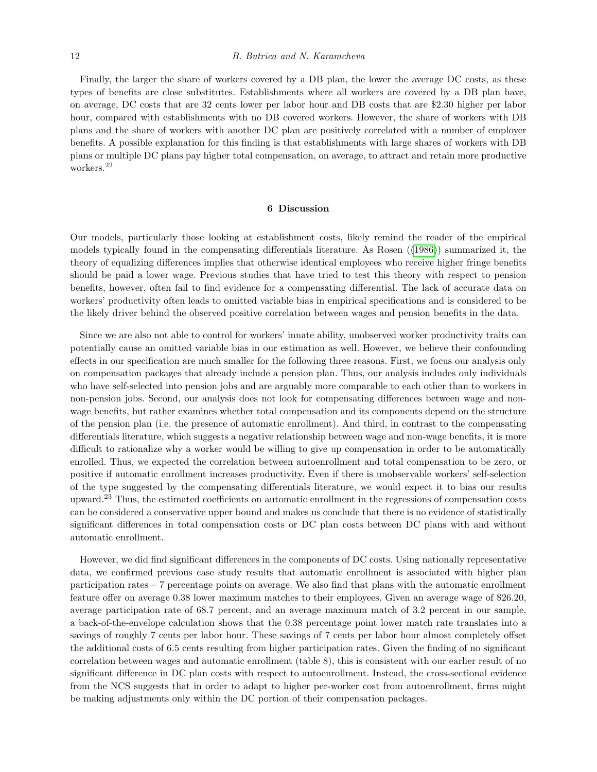#### 12 B. Butrica and N. Karamcheva

Finally, the larger the share of workers covered by a DB plan, the lower the average DC costs, as these types of benefits are close substitutes. Establishments where all workers are covered by a DB plan have, on average, DC costs that are 32 cents lower per labor hour and DB costs that are \$2.30 higher per labor hour, compared with establishments with no DB covered workers. However, the share of workers with DB plans and the share of workers with another DC plan are positively correlated with a number of employer benefits. A possible explanation for this finding is that establishments with large shares of workers with DB plans or multiple DC plans pay higher total compensation, on average, to attract and retain more productive workers.<sup>22</sup>

#### 6 Discussion

Our models, particularly those looking at establishment costs, likely remind the reader of the empirical models typically found in the compensating differentials literature. As Rosen ([\(1986\)](#page-15-9)) summarized it, the theory of equalizing differences implies that otherwise identical employees who receive higher fringe benefits should be paid a lower wage. Previous studies that have tried to test this theory with respect to pension benefits, however, often fail to find evidence for a compensating differential. The lack of accurate data on workers' productivity often leads to omitted variable bias in empirical specifications and is considered to be the likely driver behind the observed positive correlation between wages and pension benefits in the data.

Since we are also not able to control for workers' innate ability, unobserved worker productivity traits can potentially cause an omitted variable bias in our estimation as well. However, we believe their confounding effects in our specification are much smaller for the following three reasons. First, we focus our analysis only on compensation packages that already include a pension plan. Thus, our analysis includes only individuals who have self-selected into pension jobs and are arguably more comparable to each other than to workers in non-pension jobs. Second, our analysis does not look for compensating differences between wage and nonwage benefits, but rather examines whether total compensation and its components depend on the structure of the pension plan (i.e. the presence of automatic enrollment). And third, in contrast to the compensating differentials literature, which suggests a negative relationship between wage and non-wage benefits, it is more difficult to rationalize why a worker would be willing to give up compensation in order to be automatically enrolled. Thus, we expected the correlation between autoenrollment and total compensation to be zero, or positive if automatic enrollment increases productivity. Even if there is unobservable workers' self-selection of the type suggested by the compensating differentials literature, we would expect it to bias our results upward.<sup>23</sup> Thus, the estimated coefficients on automatic enrollment in the regressions of compensation costs can be considered a conservative upper bound and makes us conclude that there is no evidence of statistically significant differences in total compensation costs or DC plan costs between DC plans with and without automatic enrollment.

However, we did find significant differences in the components of DC costs. Using nationally representative data, we confirmed previous case study results that automatic enrollment is associated with higher plan participation rates – 7 percentage points on average. We also find that plans with the automatic enrollment feature offer on average 0.38 lower maximum matches to their employees. Given an average wage of \$26.20, average participation rate of 68.7 percent, and an average maximum match of 3.2 percent in our sample, a back-of-the-envelope calculation shows that the 0.38 percentage point lower match rate translates into a savings of roughly 7 cents per labor hour. These savings of 7 cents per labor hour almost completely offset the additional costs of 6.5 cents resulting from higher participation rates. Given the finding of no significant correlation between wages and automatic enrollment (table 8), this is consistent with our earlier result of no significant difference in DC plan costs with respect to autoenrollment. Instead, the cross-sectional evidence from the NCS suggests that in order to adapt to higher per-worker cost from autoenrollment, firms might be making adjustments only within the DC portion of their compensation packages.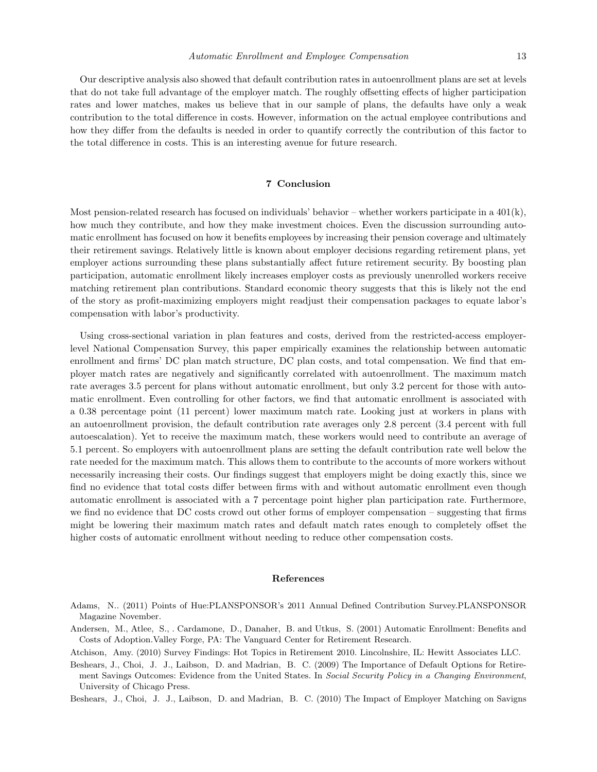#### Automatic Enrollment and Employee Compensation 13

Our descriptive analysis also showed that default contribution rates in autoenrollment plans are set at levels that do not take full advantage of the employer match. The roughly offsetting effects of higher participation rates and lower matches, makes us believe that in our sample of plans, the defaults have only a weak contribution to the total difference in costs. However, information on the actual employee contributions and how they differ from the defaults is needed in order to quantify correctly the contribution of this factor to the total difference in costs. This is an interesting avenue for future research.

#### 7 Conclusion

Most pension-related research has focused on individuals' behavior – whether workers participate in a 401(k), how much they contribute, and how they make investment choices. Even the discussion surrounding automatic enrollment has focused on how it benefits employees by increasing their pension coverage and ultimately their retirement savings. Relatively little is known about employer decisions regarding retirement plans, yet employer actions surrounding these plans substantially affect future retirement security. By boosting plan participation, automatic enrollment likely increases employer costs as previously unenrolled workers receive matching retirement plan contributions. Standard economic theory suggests that this is likely not the end of the story as profit-maximizing employers might readjust their compensation packages to equate labor's compensation with labor's productivity.

Using cross-sectional variation in plan features and costs, derived from the restricted-access employerlevel National Compensation Survey, this paper empirically examines the relationship between automatic enrollment and firms' DC plan match structure, DC plan costs, and total compensation. We find that employer match rates are negatively and significantly correlated with autoenrollment. The maximum match rate averages 3.5 percent for plans without automatic enrollment, but only 3.2 percent for those with automatic enrollment. Even controlling for other factors, we find that automatic enrollment is associated with a 0.38 percentage point (11 percent) lower maximum match rate. Looking just at workers in plans with an autoenrollment provision, the default contribution rate averages only 2.8 percent (3.4 percent with full autoescalation). Yet to receive the maximum match, these workers would need to contribute an average of 5.1 percent. So employers with autoenrollment plans are setting the default contribution rate well below the rate needed for the maximum match. This allows them to contribute to the accounts of more workers without necessarily increasing their costs. Our findings suggest that employers might be doing exactly this, since we find no evidence that total costs differ between firms with and without automatic enrollment even though automatic enrollment is associated with a 7 percentage point higher plan participation rate. Furthermore, we find no evidence that DC costs crowd out other forms of employer compensation – suggesting that firms might be lowering their maximum match rates and default match rates enough to completely offset the higher costs of automatic enrollment without needing to reduce other compensation costs.

#### References

- <span id="page-14-3"></span>Adams, N.. (2011) Points of Hue:PLANSPONSOR's 2011 Annual Defined Contribution Survey.PLANSPONSOR Magazine November.
- <span id="page-14-1"></span>Andersen, M., Atlee, S., . Cardamone, D., Danaher, B. and Utkus, S. (2001) Automatic Enrollment: Benefits and Costs of Adoption.Valley Forge, PA: The Vanguard Center for Retirement Research.
- <span id="page-14-4"></span>Atchison, Amy. (2010) Survey Findings: Hot Topics in Retirement 2010. Lincolnshire, IL: Hewitt Associates LLC.

<span id="page-14-2"></span>Beshears, J., Choi, J. J., Laibson, D. and Madrian, B. C. (2009) The Importance of Default Options for Retirement Savings Outcomes: Evidence from the United States. In Social Security Policy in a Changing Environment, University of Chicago Press.

<span id="page-14-0"></span>Beshears, J., Choi, J. J., Laibson, D. and Madrian, B. C. (2010) The Impact of Employer Matching on Savigns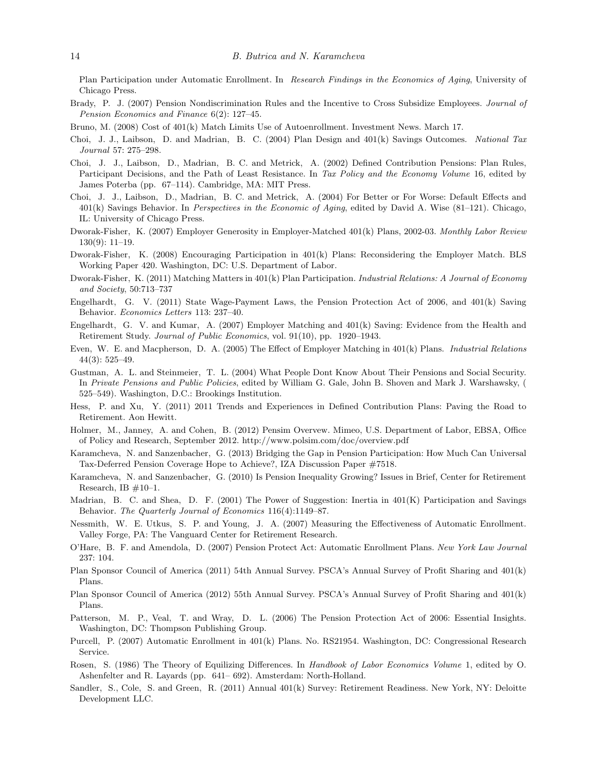Plan Participation under Automatic Enrollment. In Research Findings in the Economics of Aging, University of Chicago Press.

- <span id="page-15-11"></span>Brady, P. J. (2007) Pension Nondiscrimination Rules and the Incentive to Cross Subsidize Employees. Journal of Pension Economics and Finance 6(2): 127–45.
- Bruno, M. (2008) Cost of 401(k) Match Limits Use of Autoenrollment. Investment News. March 17.
- <span id="page-15-2"></span>Choi, J. J., Laibson, D. and Madrian, B. C. (2004) Plan Design and 401(k) Savings Outcomes. National Tax Journal 57: 275–298.
- <span id="page-15-1"></span>Choi, J. J., Laibson, D., Madrian, B. C. and Metrick, A. (2002) Defined Contribution Pensions: Plan Rules, Participant Decisions, and the Path of Least Resistance. In Tax Policy and the Economy Volume 16, edited by James Poterba (pp. 67–114). Cambridge, MA: MIT Press.
- Choi, J. J., Laibson, D., Madrian, B. C. and Metrick, A. (2004) For Better or For Worse: Default Effects and 401(k) Savings Behavior. In Perspectives in the Economic of Aging, edited by David A. Wise (81–121). Chicago, IL: University of Chicago Press.
- <span id="page-15-16"></span>Dworak-Fisher, K. (2007) Employer Generosity in Employer-Matched 401(k) Plans, 2002-03. Monthly Labor Review 130(9): 11–19.
- Dworak-Fisher, K. (2008) Encouraging Participation in 401(k) Plans: Reconsidering the Employer Match. BLS Working Paper 420. Washington, DC: U.S. Department of Labor.
- <span id="page-15-17"></span>Dworak-Fisher, K. (2011) Matching Matters in 401(k) Plan Participation. Industrial Relations: A Journal of Economy and Society, 50:713–737
- <span id="page-15-0"></span>Engelhardt, G. V. (2011) State Wage-Payment Laws, the Pension Protection Act of 2006, and 401(k) Saving Behavior. Economics Letters 113: 237–40.
- Engelhardt, G. V. and Kumar, A. (2007) Employer Matching and 401(k) Saving: Evidence from the Health and Retirement Study. Journal of Public Economics, vol. 91(10), pp. 1920–1943.
- Even, W. E. and Macpherson, D. A. (2005) The Effect of Employer Matching in 401(k) Plans. Industrial Relations 44(3): 525–49.
- <span id="page-15-4"></span>Gustman, A. L. and Steinmeier, T. L. (2004) What People Dont Know About Their Pensions and Social Security. In Private Pensions and Public Policies, edited by William G. Gale, John B. Shoven and Mark J. Warshawsky, ( 525–549). Washington, D.C.: Brookings Institution.
- <span id="page-15-6"></span>Hess, P. and Xu, Y. (2011) 2011 Trends and Experiences in Defined Contribution Plans: Paving the Road to Retirement. Aon Hewitt.
- Holmer, M., Janney, A. and Cohen, B. (2012) Pensim Overvew. Mimeo, U.S. Department of Labor, EBSA, Office of Policy and Research, September 2012. http://www.polsim.com/doc/overview.pdf
- <span id="page-15-10"></span>Karamcheva, N. and Sanzenbacher, G. (2013) Bridging the Gap in Pension Participation: How Much Can Universal Tax-Deferred Pension Coverage Hope to Achieve?, IZA Discussion Paper #7518.
- Karamcheva, N. and Sanzenbacher, G. (2010) Is Pension Inequality Growing? Issues in Brief, Center for Retirement Research, IB  $\#10-1$ .
- <span id="page-15-3"></span>Madrian, B. C. and Shea, D. F. (2001) The Power of Suggestion: Inertia in 401(K) Participation and Savings Behavior. The Quarterly Journal of Economics 116(4):1149–87.
- <span id="page-15-8"></span>Nessmith, W. E. Utkus, S. P. and Young, J. A. (2007) Measuring the Effectiveness of Automatic Enrollment. Valley Forge, PA: The Vanguard Center for Retirement Research.
- <span id="page-15-15"></span>O'Hare, B. F. and Amendola, D. (2007) Pension Protect Act: Automatic Enrollment Plans. New York Law Journal 237: 104.
- <span id="page-15-7"></span>Plan Sponsor Council of America (2011) 54th Annual Survey. PSCA's Annual Survey of Profit Sharing and 401(k) Plans.
- <span id="page-15-12"></span>Plan Sponsor Council of America (2012) 55th Annual Survey. PSCA's Annual Survey of Profit Sharing and 401(k) Plans.
- <span id="page-15-13"></span>Patterson, M. P., Veal, T. and Wray, D. L. (2006) The Pension Protection Act of 2006: Essential Insights. Washington, DC: Thompson Publishing Group.
- <span id="page-15-14"></span>Purcell, P. (2007) Automatic Enrollment in 401(k) Plans. No. RS21954. Washington, DC: Congressional Research Service.
- <span id="page-15-9"></span>Rosen, S. (1986) The Theory of Equilizing Differences. In Handbook of Labor Economics Volume 1, edited by O. Ashenfelter and R. Layards (pp. 641– 692). Amsterdam: North-Holland.
- <span id="page-15-5"></span>Sandler, S., Cole, S. and Green, R. (2011) Annual 401(k) Survey: Retirement Readiness. New York, NY: Deloitte Development LLC.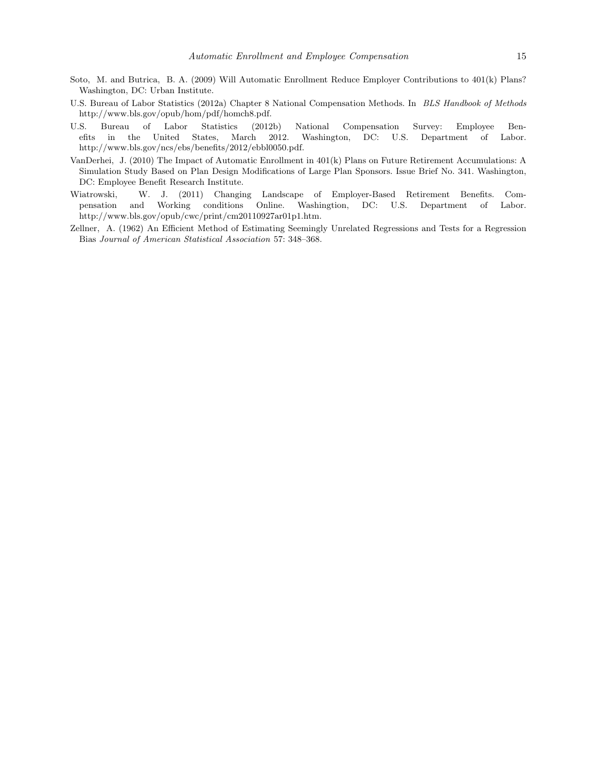- <span id="page-16-0"></span>Soto, M. and Butrica, B. A. (2009) Will Automatic Enrollment Reduce Employer Contributions to 401(k) Plans? Washington, DC: Urban Institute.
- <span id="page-16-2"></span>U.S. Bureau of Labor Statistics (2012a) Chapter 8 National Compensation Methods. In BLS Handbook of Methods http://www.bls.gov/opub/hom/pdf/homch8.pdf.
- <span id="page-16-3"></span>U.S. Bureau of Labor Statistics (2012b) National Compensation Survey: Employee Benefits in the United States, March 2012. Washington, DC: U.S. Department of Labor. http://www.bls.gov/ncs/ebs/benefits/2012/ebbl0050.pdf.
- <span id="page-16-1"></span>VanDerhei, J. (2010) The Impact of Automatic Enrollment in 401(k) Plans on Future Retirement Accumulations: A Simulation Study Based on Plan Design Modifications of Large Plan Sponsors. Issue Brief No. 341. Washington, DC: Employee Benefit Research Institute.
- Wiatrowski, W. J. (2011) Changing Landscape of Employer-Based Retirement Benefits. Compensation and Working conditions Online. Washingtion, DC: U.S. Department of Labor. http://www.bls.gov/opub/cwc/print/cm20110927ar01p1.htm.
- <span id="page-16-4"></span>Zellner, A. (1962) An Efficient Method of Estimating Seemingly Unrelated Regressions and Tests for a Regression Bias Journal of American Statistical Association 57: 348–368.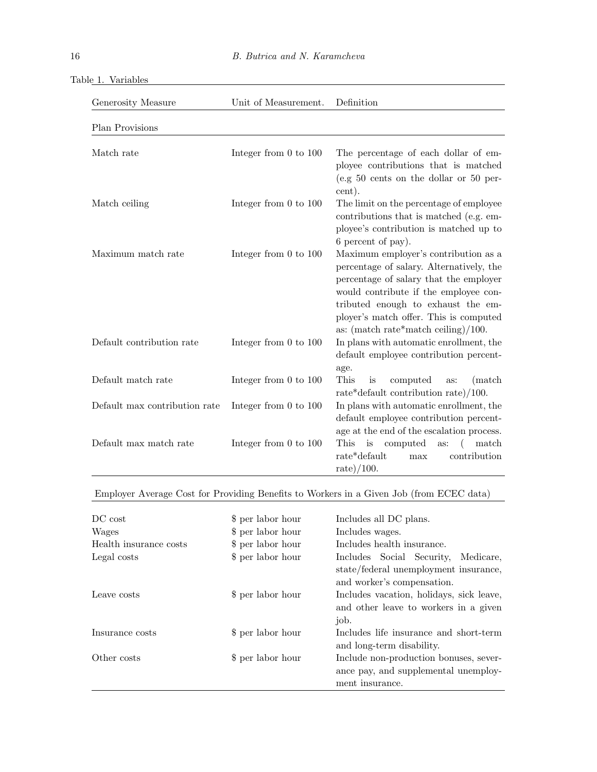| Unit of Measurement.<br>Generosity Measure |                           | Definition                                                                                                                                                                                                                                                                                 |  |  |
|--------------------------------------------|---------------------------|--------------------------------------------------------------------------------------------------------------------------------------------------------------------------------------------------------------------------------------------------------------------------------------------|--|--|
| Plan Provisions                            |                           |                                                                                                                                                                                                                                                                                            |  |  |
| Match rate                                 | Integer from $0$ to $100$ | The percentage of each dollar of em-<br>ployee contributions that is matched<br>(e.g $50$ cents on the dollar or $50$ per-<br>cent).                                                                                                                                                       |  |  |
| Match ceiling                              | Integer from $0$ to $100$ | The limit on the percentage of employee<br>contributions that is matched (e.g. em-<br>ployee's contribution is matched up to<br>6 percent of pay).                                                                                                                                         |  |  |
| Maximum match rate                         | Integer from $0$ to $100$ | Maximum employer's contribution as a<br>percentage of salary. Alternatively, the<br>percentage of salary that the employer<br>would contribute if the employee con-<br>tributed enough to exhaust the em-<br>ployer's match offer. This is computed<br>as: (match rate*match ceiling)/100. |  |  |
| Default contribution rate                  | Integer from $0$ to $100$ | In plans with automatic enrollment, the<br>default employee contribution percent-<br>age.                                                                                                                                                                                                  |  |  |
| Default match rate                         | Integer from $0$ to $100$ | This<br>computed<br>is<br>(match)<br>as:<br>rate*default contribution rate $)/100$ .                                                                                                                                                                                                       |  |  |
| Default max contribution rate              | Integer from $0$ to $100$ | In plans with automatic enrollment, the<br>default employee contribution percent-<br>age at the end of the escalation process.                                                                                                                                                             |  |  |
| Default max match rate                     | Integer from $0$ to $100$ | This<br>is<br>computed<br>match<br>as:<br>$rate*default$<br>contribution<br>max<br>rate $)/100$ .                                                                                                                                                                                          |  |  |

|  | Table 1. Variables |
|--|--------------------|
|  |                    |

Employer Average Cost for Providing Benefits to Workers in a Given Job (from ECEC data)

| DC cost                | \$ per labor hour | Includes all DC plans.                                                                                     |  |  |  |  |
|------------------------|-------------------|------------------------------------------------------------------------------------------------------------|--|--|--|--|
| Wages                  | \$ per labor hour | Includes wages.                                                                                            |  |  |  |  |
| Health insurance costs | \$ per labor hour | Includes health insurance.                                                                                 |  |  |  |  |
| Legal costs            | \$ per labor hour | Includes Social Security, Medicare,<br>state/federal unemployment insurance,<br>and worker's compensation. |  |  |  |  |
| Leave costs            | \$ per labor hour | Includes vacation, holidays, sick leave,<br>and other leave to workers in a given<br>job.                  |  |  |  |  |
| Insurance costs        | \$ per labor hour | Includes life insurance and short-term<br>and long-term disability.                                        |  |  |  |  |
| Other costs            | \$ per labor hour | Include non-production bonuses, sever-<br>ance pay, and supplemental unemploy-<br>ment insurance.          |  |  |  |  |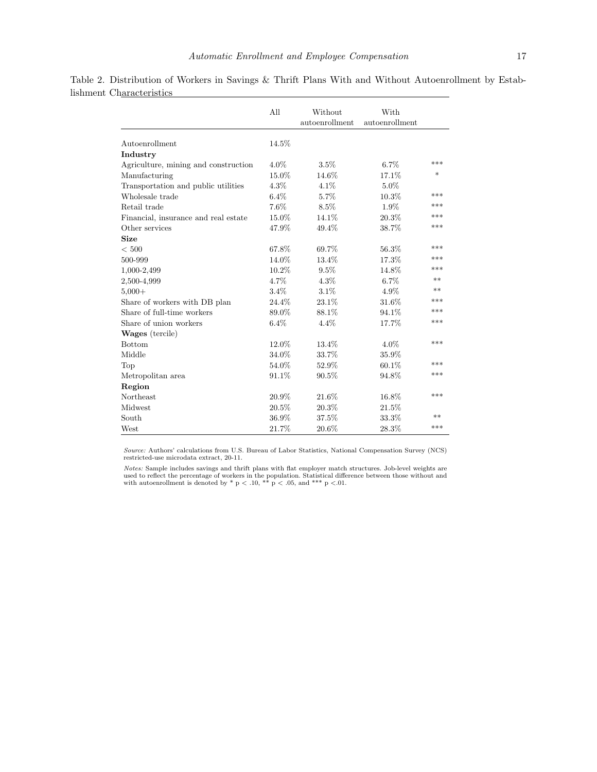|                                      | All      | Without<br>autoenrollment | With<br>autoenrollment |      |
|--------------------------------------|----------|---------------------------|------------------------|------|
| Autoenrollment                       | 14.5%    |                           |                        |      |
| Industry                             |          |                           |                        |      |
| Agriculture, mining and construction | $4.0\%$  | 3.5%                      | $6.7\%$                | ***  |
| Manufacturing                        | 15.0%    | 14.6%                     | 17.1%                  | *    |
| Transportation and public utilities  | 4.3%     | 4.1%                      | $5.0\%$                |      |
| Wholesale trade                      | $6.4\%$  | 5.7%                      | 10.3%                  | ***  |
| Retail trade                         | 7.6%     | 8.5%                      | 1.9%                   | ***  |
| Financial, insurance and real estate | 15.0%    | 14.1%                     | 20.3%                  | ***  |
| Other services                       | 47.9%    | 49.4%                     | 38.7%                  | ***  |
| <b>Size</b>                          |          |                           |                        |      |
| ${}< 500$                            | 67.8%    | 69.7%                     | 56.3%                  | ***  |
| 500-999                              | 14.0%    | 13.4%                     | 17.3%                  | ***  |
| 1,000-2,499                          | 10.2%    | $9.5\%$                   | 14.8%                  | ***  |
| 2,500-4,999                          | 4.7%     | 4.3%                      | $6.7\%$                | $**$ |
| $5,000+$                             | 3.4%     | 3.1%                      | 4.9%                   | $**$ |
| Share of workers with DB plan        | $24.4\%$ | 23.1%                     | 31.6%                  | ***  |
| Share of full-time workers           | 89.0%    | 88.1%                     | 94.1%                  | ***  |
| Share of union workers               | $6.4\%$  | 4.4%                      | 17.7%                  | ***  |
| <b>Wages</b> (tercile)               |          |                           |                        |      |
| <b>Bottom</b>                        | 12.0%    | 13.4%                     | $4.0\%$                | ***  |
| Middle                               | 34.0%    | 33.7%                     | 35.9%                  |      |
| Top                                  | 54.0%    | 52.9%                     | $60.1\%$               | ***  |
| Metropolitan area                    | 91.1%    | 90.5%                     | 94.8%                  | ***  |
| Region                               |          |                           |                        |      |
| Northeast                            | 20.9%    | 21.6%                     | $16.8\%$               | ***  |
| Midwest                              | 20.5%    | 20.3%                     | 21.5%                  |      |
| South                                | 36.9%    | 37.5%                     | 33.3%                  | **   |
| West                                 | 21.7%    | 20.6%                     | 28.3%                  | ***  |

Table 2. Distribution of Workers in Savings & Thrift Plans With and Without Autoenrollment by Establishment Characteristics

Notes: Sample includes savings and thrift plans with flat employer match structures. Job-level weights are used to reflect the percentage of workers in the population. Statistical difference between those without and with autoenrollment is denoted by \* p < .10, \*\* p < .05, and \*\*\* p < .01.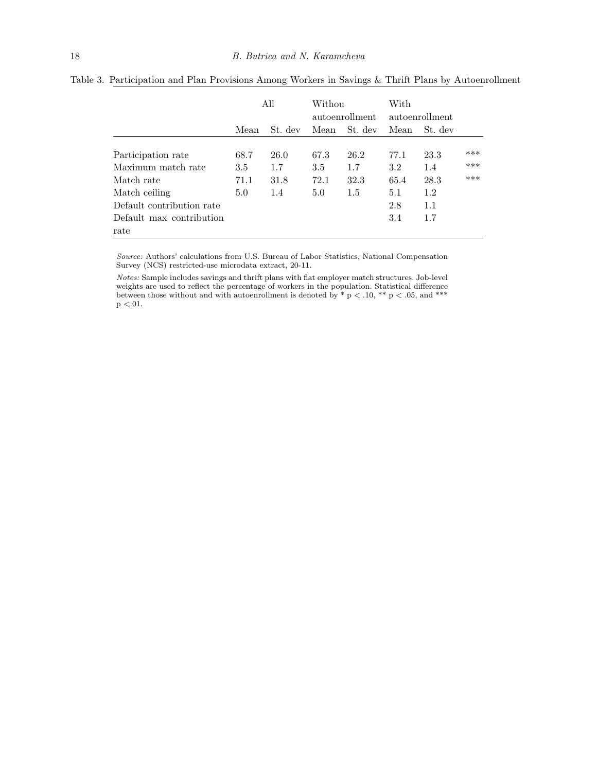|                           | All  |         | Withou<br>autoenrollment |         | With<br>autoenrollment |         |     |
|---------------------------|------|---------|--------------------------|---------|------------------------|---------|-----|
|                           | Mean | St. dev | Mean                     | St. dev | Mean                   | St. dev |     |
| Participation rate        | 68.7 | 26.0    | 67.3                     | 26.2    | 77.1                   | 23.3    | *** |
| Maximum match rate        | 3.5  | 1.7     | 3.5                      | 1.7     | $3.2\,$                | 1.4     | *** |
| Match rate                | 71.1 | 31.8    | 72.1                     | 32.3    | 65.4                   | 28.3    | *** |
| Match ceiling             | 5.0  | 1.4     | 5.0                      | 1.5     | 5.1                    | 1.2     |     |
| Default contribution rate |      |         |                          |         | 2.8                    | 1.1     |     |
| Default max contribution  |      |         |                          |         | 3.4                    | 1.7     |     |
| rate                      |      |         |                          |         |                        |         |     |

Table 3. Participation and Plan Provisions Among Workers in Savings & Thrift Plans by Autoenrollment

Notes: Sample includes savings and thrift plans with flat employer match structures. Job-level weights are used to reflect the percentage of workers in the population. Statistical difference between those without and with autoenrollment is denoted by  $*$  p  $<$  .10,  $**$  p  $<$  .05, and  $***$  $\rm p < 01.$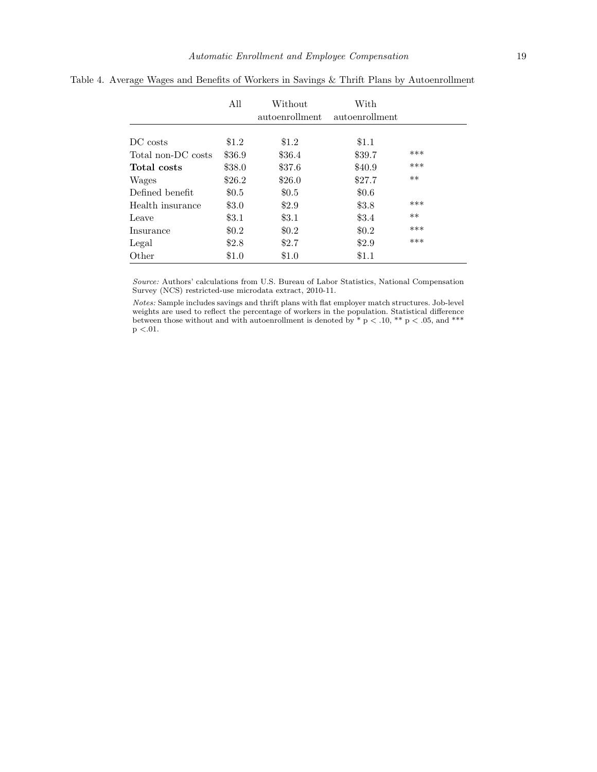|                    | All     | Without<br>autoenrollment | With<br>autoenrollment |       |
|--------------------|---------|---------------------------|------------------------|-------|
| DC costs           | \$1.2   | \$1.2                     | \$1.1                  |       |
| Total non-DC costs | \$36.9  | \$36.4                    | \$39.7                 | ***   |
| Total costs        | \$38.0  | \$37.6                    | \$40.9                 | ***   |
| Wages              | \$26.2  | \$26.0                    | \$27.7                 | $**$  |
| Defined benefit    | \$0.5   | \$0.5                     | \$0.6\$                |       |
| Health insurance   | \$3.0   | \$2.9                     | \$3.8                  | ***   |
| Leave              | $\$3.1$ | $\$3.1$                   | \$3.4                  | $***$ |
| Insurance          | \$0.2   | \$0.2\$                   | \$0.2\$                | ***   |
| Legal              | \$2.8   | \$2.7                     | \$2.9                  | ***   |
| Other              | \$1.0   | \$1.0                     | \$1.1                  |       |

Table 4. Average Wages and Benefits of Workers in Savings & Thrift Plans by Autoenrollment

Notes: Sample includes savings and thrift plans with flat employer match structures. Job-level weights are used to reflect the percentage of workers in the population. Statistical difference between those without and with autoenrollment is denoted by  $*$  p  $<$  .10,  $**$  p  $<$  .05, and  $***$  $p < 01$ .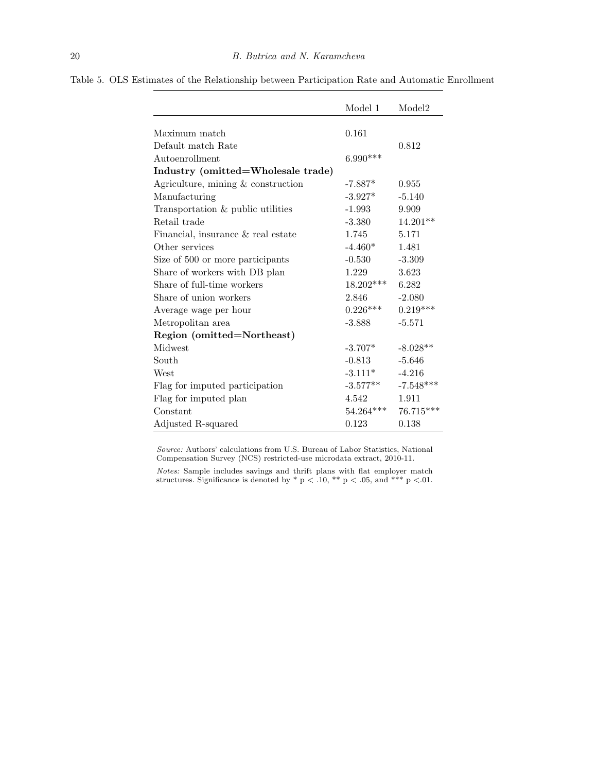|                                      | Model 1     | Model <sub>2</sub> |
|--------------------------------------|-------------|--------------------|
|                                      |             |                    |
| Maximum match                        | 0.161       |                    |
| Default match Rate                   |             | 0.812              |
| Autoenrollment                       | $6.990***$  |                    |
| Industry (omitted=Wholesale trade)   |             |                    |
| Agriculture, mining $&$ construction | $-7.887*$   | 0.955              |
| Manufacturing                        | $-3.927*$   | $-5.140$           |
| Transportation & public utilities    | $-1.993$    | 9.909              |
| Retail trade                         | $-3.380$    | $14.201**$         |
| Financial, insurance & real estate   | 1.745       | 5.171              |
| Other services                       | $-4.460*$   | 1.481              |
| Size of 500 or more participants     | $-0.530$    | $-3.309$           |
| Share of workers with DB plan        | 1.229       | 3.623              |
| Share of full-time workers           | $18.202***$ | 6.282              |
| Share of union workers               | 2.846       | $-2.080$           |
| Average wage per hour                | $0.226***$  | $0.219***$         |
| Metropolitan area                    | $-3.888$    | $-5.571$           |
| Region (omitted=Northeast)           |             |                    |
| Midwest                              | $-3.707*$   | $-8.028**$         |
| South                                | $-0.813$    | $-5.646$           |
| West                                 | $-3.111*$   | $-4.216$           |
| Flag for imputed participation       | $-3.577**$  | $-7.548***$        |
| Flag for imputed plan                | 4.542       | 1.911              |
| Constant                             | $54.264***$ | 76.715***          |
| Adjusted R-squared                   | 0.123       | 0.138              |

Table 5. OLS Estimates of the Relationship between Participation Rate and Automatic Enrollment

Notes: Sample includes savings and thrift plans with flat employer match structures. Significance is denoted by  $*$  p  $<$  .10,  $**$  p  $<$  .05, and  $***$  p  $<$  01.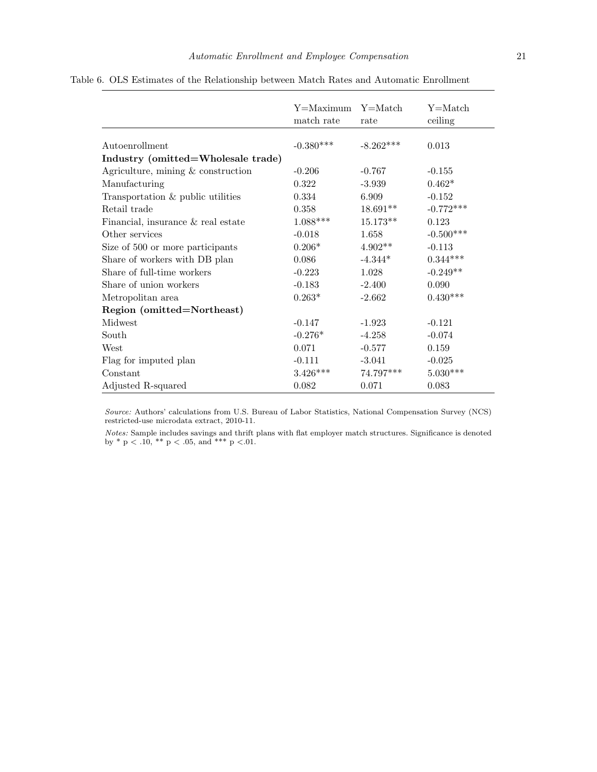|                                      | Y=Maximum<br>match rate | Y=Match<br>rate | Y=Match<br>ceiling |
|--------------------------------------|-------------------------|-----------------|--------------------|
| Autoenrollment                       | $-0.380***$             | $-8.262***$     | 0.013              |
| Industry (omitted=Wholesale trade)   |                         |                 |                    |
| Agriculture, mining $&$ construction | $-0.206$                | $-0.767$        | $-0.155$           |
| Manufacturing                        | 0.322                   | $-3.939$        | $0.462*$           |
| Transportation & public utilities    | 0.334                   | 6.909           | $-0.152$           |
| Retail trade                         | 0.358                   | $18.691**$      | $-0.772***$        |
| Financial, insurance & real estate   | $1.088***$              | $15.173**$      | 0.123              |
| Other services                       | $-0.018$                | 1.658           | $-0.500***$        |
| Size of 500 or more participants     | $0.206*$                | $4.902**$       | $-0.113$           |
| Share of workers with DB plan        | 0.086                   | $-4.344*$       | $0.344^{***}\;$    |
| Share of full-time workers           | $-0.223$                | 1.028           | $-0.249**$         |
| Share of union workers               | $-0.183$                | $-2.400$        | 0.090              |
| Metropolitan area                    | $0.263*$                | $-2.662$        | $0.430^{***}\,$    |
| Region (omitted=Northeast)           |                         |                 |                    |
| Midwest                              | $-0.147$                | $-1.923$        | $-0.121$           |
| South                                | $-0.276*$               | $-4.258$        | $-0.074$           |
| West                                 | 0.071                   | $-0.577$        | 0.159              |
| Flag for imputed plan                | $-0.111$                | $-3.041$        | $-0.025$           |
| Constant                             | $3.426***$              | 74.797***       | $5.030***$         |
| Adjusted R-squared                   | 0.082                   | 0.071           | 0.083              |

Notes: Sample includes savings and thrift plans with flat employer match structures. Significance is denoted by  $*$  p  $< .10, **$  p  $< .05,$  and  $***$  p  $< .01$ .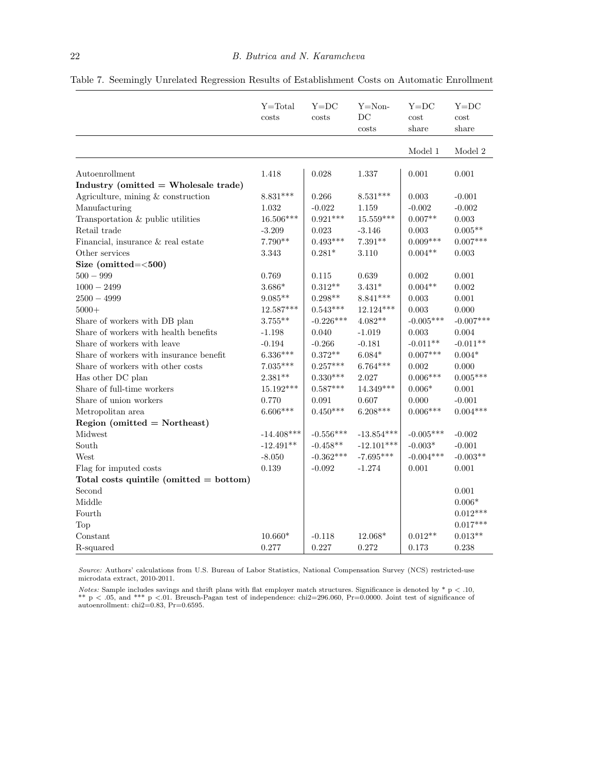|                                           | $Y = Total$<br>costs  | $Y = DC$<br>costs   | $Y = Non-$<br>DC<br>costs | $Y = DC$<br>cost<br>share | $Y = DC$<br>cost<br>share |
|-------------------------------------------|-----------------------|---------------------|---------------------------|---------------------------|---------------------------|
|                                           |                       |                     |                           | Model 1                   | Model 2                   |
|                                           |                       |                     | 1.337                     | 0.001                     | 0.001                     |
| Autoenrollment                            | 1.418                 | 0.028               |                           |                           |                           |
| Industry (omitted $=$ Wholesale trade)    | $8.831***$            | 0.266               | $8.531***$                | $\,0.003\,$               |                           |
| Agriculture, mining & construction        | 1.032                 | $-0.022$            |                           | $-0.002$                  | $-0.001$<br>$-0.002$      |
| Manufacturing                             | $16.506***$           | $0.921***$          | 1.159<br>$15.559***$      | $0.007**$                 | 0.003                     |
| Transportation & public utilities         |                       |                     |                           |                           | $0.005**$                 |
| Retail trade                              | $-3.209$<br>$7.790**$ | 0.023<br>$0.493***$ | $-3.146$<br>$7.391**$     | 0.003<br>$0.009***$       | $0.007***$                |
| Financial, insurance & real estate        |                       |                     |                           |                           |                           |
| Other services                            | 3.343                 | $0.281*$            | 3.110                     | $0.004**$                 | 0.003                     |
| Size (omitted= $<$ 500)                   |                       |                     |                           |                           |                           |
| $500 - 999$                               | 0.769                 | 0.115               | 0.639                     | 0.002                     | 0.001                     |
| $1000 - 2499$                             | $3.686^*$             | $0.312**$           | $3.431*$                  | $0.004**$                 | 0.002                     |
| $2500 - 4999$                             | $9.085**$             | $0.298**$           | $8.841***$                | 0.003                     | 0.001                     |
| $5000+$                                   | $12.587***$           | $0.543***$          | 12.124***                 | 0.003                     | 0.000                     |
| Share of workers with DB plan             | $3.755***$            | $-0.226***$         | $4.082**$                 | $-0.005***$               | $-0.007***$               |
| Share of workers with health benefits     | $-1.198$              | 0.040               | $-1.019$                  | 0.003                     | 0.004                     |
| Share of workers with leave               | $-0.194$              | $-0.266$            | $-0.181$                  | $-0.011**$                | $-0.011**$                |
| Share of workers with insurance benefit   | $6.336***$            | $0.372**$           | $6.084*$                  | $0.007***$                | $0.004*$                  |
| Share of workers with other costs         | $7.035***$            | $0.257***$          | $6.764***$                | $\rm 0.002$               | 0.000                     |
| Has other DC plan                         | $2.381**$             | $0.330***$          | 2.027                     | $0.006***$                | $0.005***$                |
| Share of full-time workers                | $15.192***$           | $0.587***$          | $14.349***$               | $0.006*$                  | 0.001                     |
| Share of union workers                    | 0.770                 | 0.091               | 0.607                     | 0.000                     | $-0.001$                  |
| Metropolitan area                         | $6.606***$            | $0.450***$          | $6.208***$                | $0.006***$                | $0.004***$                |
| Region (omitted $=$ Northeast)            |                       |                     |                           |                           |                           |
| Midwest                                   | $-14.408***$          | $-0.556***$         | $-13.854***$              | $-0.005***$               | $-0.002$                  |
| South                                     | $-12.491**$           | $-0.458**$          | $-12.101***$              | $-0.003*$                 | $-0.001$                  |
| West                                      | $-8.050$              | $-0.362***$         | $-7.695***$               | $-0.004***$               | $-0.003**$                |
| Flag for imputed costs                    | 0.139                 | $-0.092$            | $-1.274$                  | 0.001                     | 0.001                     |
| Total costs quintile (omitted $=$ bottom) |                       |                     |                           |                           |                           |
| Second                                    |                       |                     |                           |                           | 0.001                     |
| Middle                                    |                       |                     |                           |                           | $0.006*$                  |
| Fourth                                    |                       |                     |                           |                           | $0.012***$                |
| Top                                       |                       |                     |                           |                           | $0.017***$                |
| Constant                                  | $10.660*$             | $-0.118$            | 12.068*                   | $0.012**$                 | $0.013**$                 |
| R-squared                                 | 0.277                 | 0.227               | 0.272                     | 0.173                     | 0.238                     |

Table 7. Seemingly Unrelated Regression Results of Establishment Costs on Automatic Enrollment

Notes: Sample includes savings and thrift plans with flat employer match structures. Significance is denoted by  $* p < .10$ , \*\* p < .05, and \*\*\* p <.01. Breusch-Pagan test of independence: chi2=296.060, Pr=0.0000. Joint test of significance of autoenrollment: chi2=0.83, Pr=0.6595.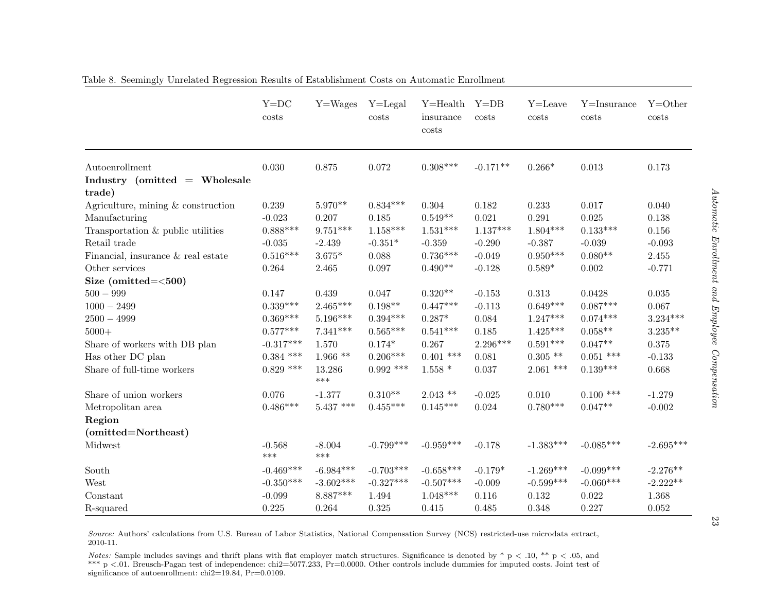|                                       | $Y = DC$<br>costs | $Y = Wages$     | $Y = \text{Legal}$<br>costs | $Y = Health$<br>insurance<br>costs | $Y = DB$<br>costs | $Y =$ Leave<br>costs | $Y = Insquare$<br>costs | $Y = Other$<br>costs |
|---------------------------------------|-------------------|-----------------|-----------------------------|------------------------------------|-------------------|----------------------|-------------------------|----------------------|
| Autoenrollment                        | 0.030             | 0.875           | 0.072                       | $0.308***$                         | $-0.171**$        | $0.266*$             | 0.013                   | 0.173                |
| Industry (omitted = Wholesale         |                   |                 |                             |                                    |                   |                      |                         |                      |
| trade)                                |                   |                 |                             |                                    |                   |                      |                         |                      |
| Agriculture, mining $\&$ construction | 0.239             | $5.970**$       | $0.834***$                  | 0.304                              | 0.182             | 0.233                | 0.017                   | 0.040                |
| Manufacturing                         | $-0.023$          | 0.207           | 0.185                       | $0.549**$                          | 0.021             | 0.291                | 0.025                   | 0.138                |
| Transportation & public utilities     | $0.888***$        | $9.751***$      | $1.158***$                  | $1.531***$                         | $1.137***$        | $1.804***$           | $0.133***$              | $0.156\,$            |
| Retail trade                          | $-0.035$          | $-2.439$        | $-0.351*$                   | $-0.359$                           | $-0.290$          | $-0.387$             | $-0.039$                | $-0.093$             |
| Financial, insurance & real estate    | $0.516***$        | $3.675*$        | 0.088                       | $0.736***$                         | $-0.049$          | $0.950***$           | $0.080**$               | $2.455\,$            |
| Other services                        | 0.264             | 2.465           | 0.097                       | $0.490**$                          | $-0.128$          | $0.589*$             | 0.002                   | $-0.771$             |
| Size (omitted= $<$ 500)               |                   |                 |                             |                                    |                   |                      |                         |                      |
| $500 - 999$                           | 0.147             | 0.439           | 0.047                       | $0.320**$                          | $-0.153$          | 0.313                | 0.0428                  | 0.035                |
| $1000 - 2499$                         | $0.339***$        | $2.465***$      | $0.198**$                   | $0.447***$                         | $-0.113$          | $0.649***$           | $0.087***$              | 0.067                |
| $2500 - 4999$                         | $0.369***$        | $5.196***$      | $0.394^{***}\,$             | $0.287*$                           | 0.084             | $1.247***$           | $0.074***$              | $3.234***$           |
| $5000+$                               | $0.577***$        | $7.341***$      | $0.565^{\ast\ast\ast}$      | $0.541***$                         | 0.185             | $1.425***$           | $0.058**$               | $3.235***$           |
| Share of workers with DB plan         | $-0.317***$       | 1.570           | $0.174*$                    | 0.267                              | $2.296***$        | $0.591***$           | $0.047**$               | $0.375\,$            |
| Has other DC plan                     | $0.384$ ***       | $1.966**$       | $0.206***$                  | $0.401$ ***                        | 0.081             | $0.305$ **           | $0.051$ ***             | $-0.133$             |
| Share of full-time workers            | $0.829$ ***       | 13.286<br>$***$ | $0.992$ ***                 | $1.558*$                           | 0.037             | $2.061$ ***          | $0.139***$              | 0.668                |
| Share of union workers                | 0.076             | $-1.377$        | $0.310**$                   | $2.043$ **                         | $-0.025$          | 0.010                | $0.100$ ***             | $-1.279$             |
| Metropolitan area                     | $0.486***$        | $5.437$ ***     | $0.455***$                  | $0.145***$                         | 0.024             | $0.780***$           | $0.047**$               | $-0.002$             |
| Region                                |                   |                 |                             |                                    |                   |                      |                         |                      |
| (omitted=Northeast)                   |                   |                 |                             |                                    |                   |                      |                         |                      |
| Midwest                               | $-0.568$<br>$***$ | $-8.004$<br>*** | $-0.799***$                 | $-0.959***$                        | $-0.178$          | $-1.383***$          | $-0.085***$             | $-2.695***$          |
| South                                 | $-0.469***$       | $-6.984***$     | $-0.703***$                 | $-0.658***$                        | $-0.179*$         | $-1.269***$          | $-0.099***$             | $-2.276**$           |
| West                                  | $-0.350***$       | $-3.602***$     | $-0.327***$                 | $-0.507***$                        | $-0.009$          | $-0.599***$          | $-0.060***$             | $-2.222**$           |
| Constant                              | $-0.099$          | $8.887***$      | 1.494                       | $1.048***$                         | 0.116             | 0.132                | 0.022                   | 1.368                |
| R-squared                             | 0.225             | 0.264           | 0.325                       | 0.415                              | 0.485             | 0.348                | 0.227                   | 0.052                |

Table 8. Seemingly Unrelated Regression Results of Establishment Costs on Automatic Enrollment

Source: Authors' calculations from U.S. Bureau of Labor Statistics, National Compensation Survey (NCS) restricted-use microdata extract, 2010-11.

Notes: Sample includes savings and thrift plans with flat employer match structures. Significance is denoted by  $* p < .10, ** p < .05$ , and  $* * p < .05$  and  $* * p < .05$  and  $* * p < .05$  and  $* * p < .05$  include during for imputed sects. Li \*\*\* p <.01. Breusch-Pagan test of independence: chi2=5077.233, Pr=0.0000. Other controls include dummies for imputed costs. Joint test of significance of autoenrollment: chi2=19.84, Pr=0.0109.

23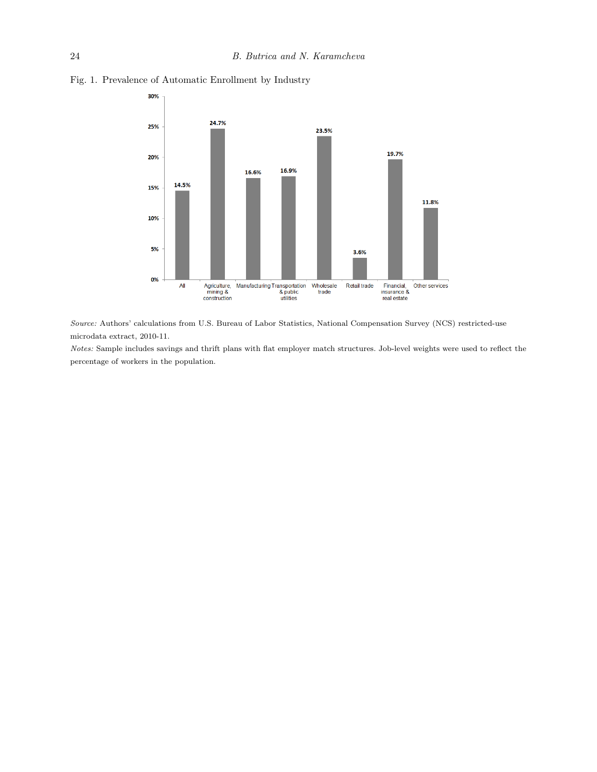

Fig. 1. Prevalence of Automatic Enrollment by Industry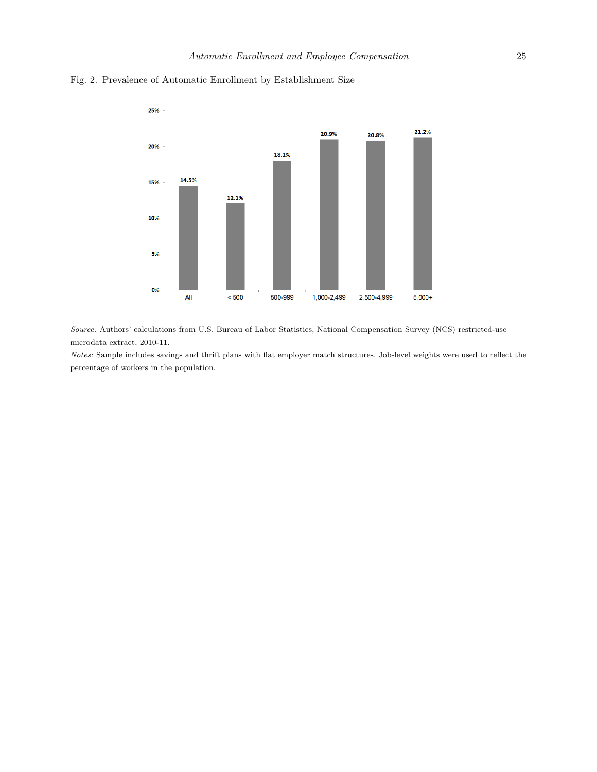

Fig. 2. Prevalence of Automatic Enrollment by Establishment Size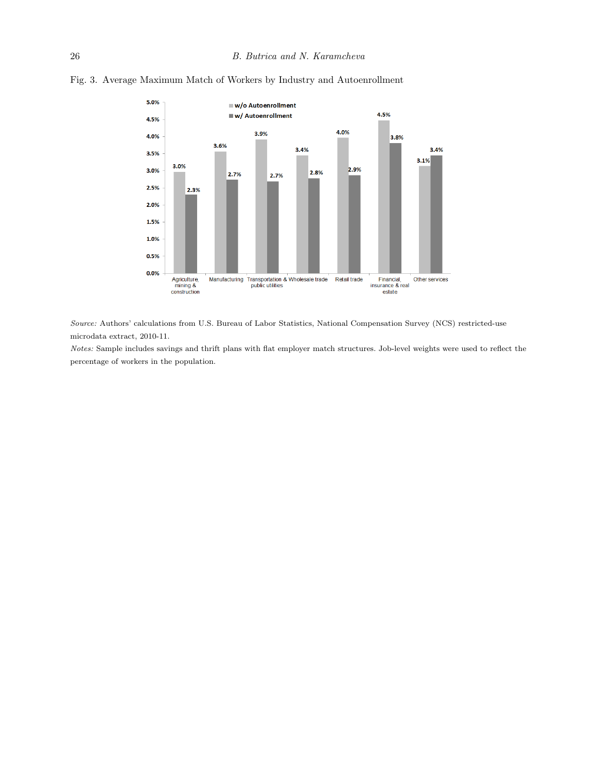

Fig. 3. Average Maximum Match of Workers by Industry and Autoenrollment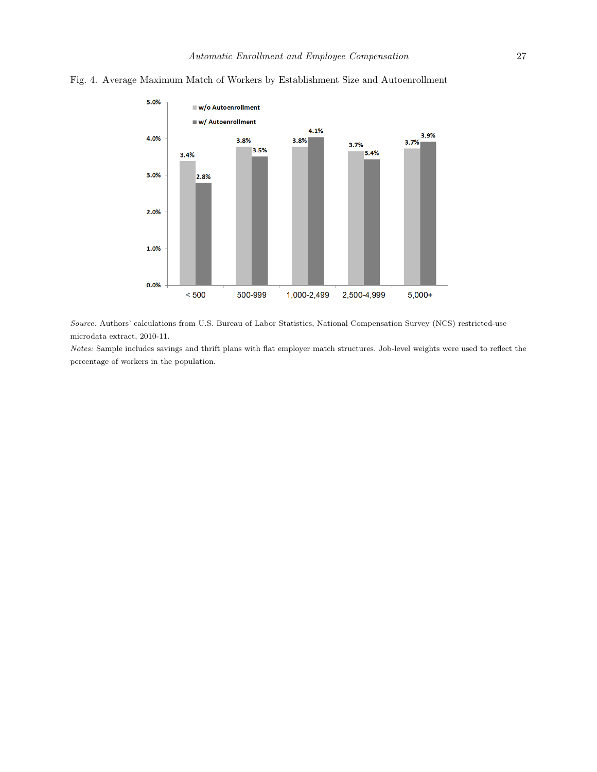

#### Fig. 4. Average Maximum Match of Workers by Establishment Size and Autoenrollment

Source: Authors' calculations from U.S. Bureau of Labor Statistics, National Compensation Survey (NCS) restricted-use microdata extract, 2010-11.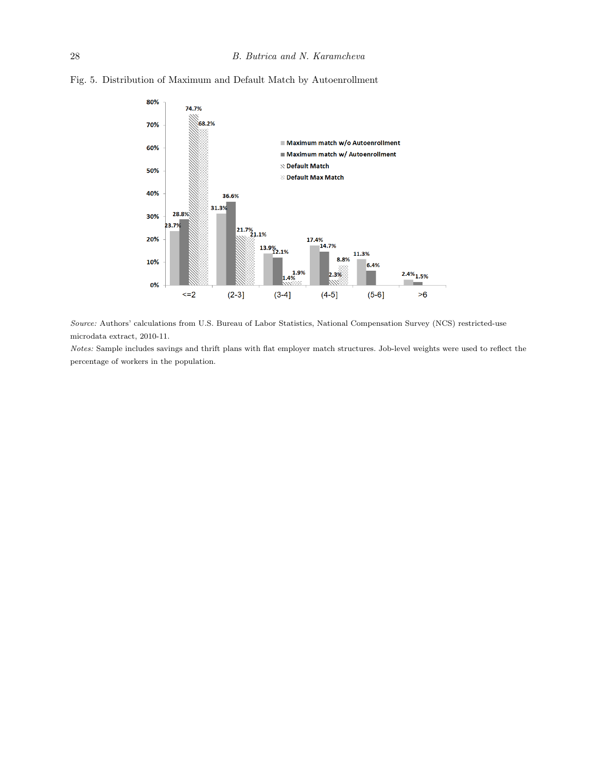

Fig. 5. Distribution of Maximum and Default Match by Autoenrollment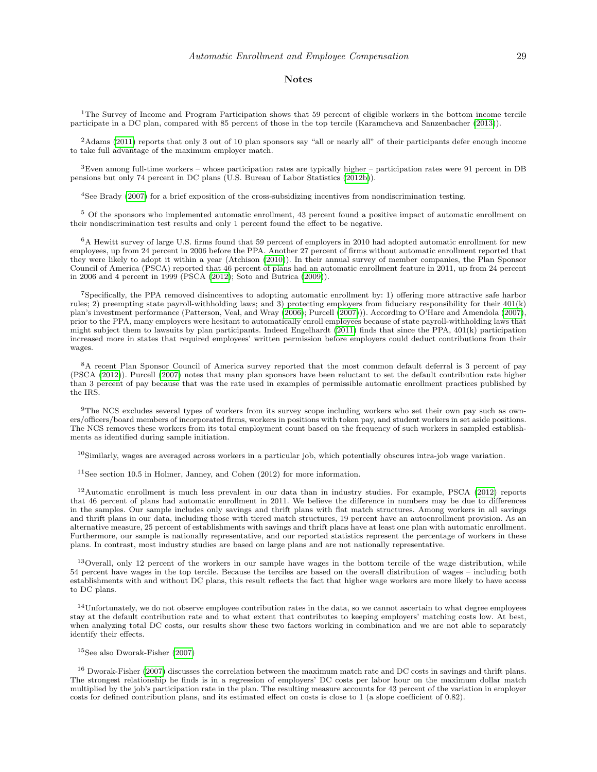#### Notes

<sup>1</sup>The Survey of Income and Program Participation shows that 59 percent of eligible workers in the bottom income tercile participate in a DC plan, compared with 85 percent of those in the top tercile (Karamcheva and Sanzenbacher [\(2013\)](#page-15-10)).

<sup>2</sup>Adams [\(2011\)](#page-14-3) reports that only 3 out of 10 plan sponsors say "all or nearly all" of their participants defer enough income to take full advantage of the maximum employer match.

 $3$ Even among full-time workers – whose participation rates are typically higher – participation rates were 91 percent in DB pensions but only 74 percent in DC plans (U.S. Bureau of Labor Statistics [\(2012b\)](#page-16-3)).

<sup>4</sup>See Brady [\(2007\)](#page-15-11) for a brief exposition of the cross-subsidizing incentives from nondiscrimination testing.

<sup>5</sup> Of the sponsors who implemented automatic enrollment, 43 percent found a positive impact of automatic enrollment on their nondiscrimination test results and only 1 percent found the effect to be negative.

 $6A$  Hewitt survey of large U.S. firms found that 59 percent of employers in 2010 had adopted automatic enrollment for new employees, up from 24 percent in 2006 before the PPA. Another 27 percent of firms without automatic enrollment reported that they were likely to adopt it within a year (Atchison [\(2010\)](#page-14-4)). In their annual survey of member companies, the Plan Sponsor Council of America (PSCA) reported that 46 percent of plans had an automatic enrollment feature in 2011, up from 24 percent in 2006 and 4 percent in 1999 (PSCA [\(2012\)](#page-15-12); Soto and Butrica [\(2009\)](#page-16-0)).

<sup>7</sup>Specifically, the PPA removed disincentives to adopting automatic enrollment by: 1) offering more attractive safe harbor rules; 2) preempting state payroll-withholding laws; and 3) protecting employers from fiduciary responsibility for their  $401(k)$ plan's investment performance (Patterson, Veal, and Wray [\(2006\)](#page-15-13); Purcell [\(2007\)](#page-15-14))). According to O'Hare and Amendola [\(2007\)](#page-15-15), prior to the PPA, many employers were hesitant to automatically enroll employees because of state payroll-withholding laws that might subject them to lawsuits by plan participants. Indeed Engelhardt [\(2011\)](#page-15-0) finds that since the PPA, 401(k) participation increased more in states that required employees' written permission before employers could deduct contributions from their wages.

<sup>8</sup>A recent Plan Sponsor Council of America survey reported that the most common default deferral is 3 percent of pay (PSCA [\(2012\)](#page-15-12)). Purcell [\(2007\)](#page-15-14) notes that many plan sponsors have been reluctant to set the default contribution rate higher than 3 percent of pay because that was the rate used in examples of permissible automatic enrollment practices published by the IRS.

<sup>9</sup>The NCS excludes several types of workers from its survey scope including workers who set their own pay such as owners/officers/board members of incorporated firms, workers in positions with token pay, and student workers in set aside positions. The NCS removes these workers from its total employment count based on the frequency of such workers in sampled establishments as identified during sample initiation.

 $10$ Similarly, wages are averaged across workers in a particular job, which potentially obscures intra-job wage variation.

 $11$ See section 10.5 in Holmer, Janney, and Cohen (2012) for more information.

 $12$ Automatic enrollment is much less prevalent in our data than in industry studies. For example, PSCA [\(2012\)](#page-15-12) reports that 46 percent of plans had automatic enrollment in 2011. We believe the difference in numbers may be due to differences in the samples. Our sample includes only savings and thrift plans with flat match structures. Among workers in all savings and thrift plans in our data, including those with tiered match structures, 19 percent have an autoenrollment provision. As an alternative measure, 25 percent of establishments with savings and thrift plans have at least one plan with automatic enrollment. Furthermore, our sample is nationally representative, and our reported statistics represent the percentage of workers in these plans. In contrast, most industry studies are based on large plans and are not nationally representative.

<sup>13</sup>Overall, only 12 percent of the workers in our sample have wages in the bottom tercile of the wage distribution, while 54 percent have wages in the top tercile. Because the terciles are based on the overall distribution of wages – including both establishments with and without DC plans, this result reflects the fact that higher wage workers are more likely to have access to DC plans.

 $14$ Unfortunately, we do not observe employee contribution rates in the data, so we cannot ascertain to what degree employees stay at the default contribution rate and to what extent that contributes to keeping employers' matching costs low. At best, when analyzing total DC costs, our results show these two factors working in combination and we are not able to separately identify their effects.

#### $15$ See also Dworak-Fisher [\(2007\)](#page-15-16)

<sup>16</sup> Dworak-Fisher [\(2007\)](#page-15-16) discusses the correlation between the maximum match rate and DC costs in savings and thrift plans. The strongest relationship he finds is in a regression of employers' DC costs per labor hour on the maximum dollar match multiplied by the job's participation rate in the plan. The resulting measure accounts for 43 percent of the variation in employer costs for defined contribution plans, and its estimated effect on costs is close to 1 (a slope coefficient of 0.82).